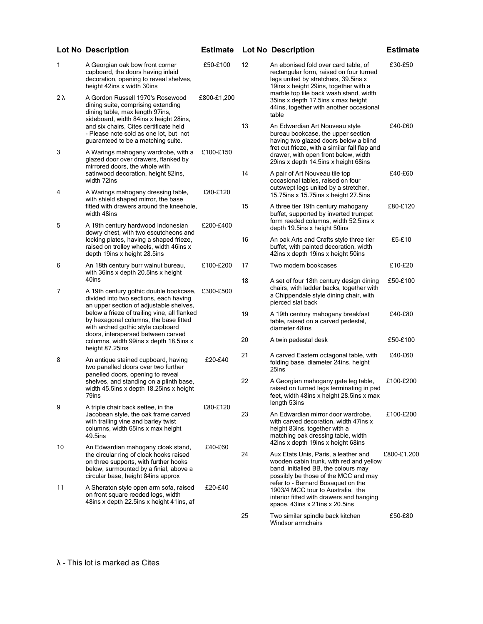|    | <b>Lot No Description</b>                                                                                                                                                                                                                                                                                                                          |             |    | <b>Estimate Lot No Description</b>                                                                                                                               | <b>Estimate</b> |
|----|----------------------------------------------------------------------------------------------------------------------------------------------------------------------------------------------------------------------------------------------------------------------------------------------------------------------------------------------------|-------------|----|------------------------------------------------------------------------------------------------------------------------------------------------------------------|-----------------|
| 1  | A Georgian oak bow front corner<br>cupboard, the doors having inlaid<br>decoration, opening to reveal shelves,<br>height 42ins x width 30ins                                                                                                                                                                                                       | £50-£100    | 12 | An ebonised fold over card table, of<br>rectangular form, raised on four turned<br>legs united by stretchers, 39.5ins x<br>19ins x height 29ins, together with a | £30-£50         |
| 2λ | A Gordon Russell 1970's Rosewood<br>dining suite, comprising extending<br>dining table, max length 97ins,<br>sideboard, width 84ins x height 28ins,                                                                                                                                                                                                | £800-£1,200 |    | marble top tile back wash stand, width<br>35ins x depth 17.5ins x max height<br>44ins, together with another occasional<br>table                                 |                 |
|    | and six chairs, Cites certificate held<br>- Please note sold as one lot, but not<br>guaranteed to be a matching suite.                                                                                                                                                                                                                             |             | 13 | An Edwardian Art Nouveau style<br>bureau bookcase, the upper section<br>having two glazed doors below a blind<br>fret cut frieze, with a similar fall flap and   | £40-£60         |
| 3  | A Warings mahogany wardrobe, with a<br>glazed door over drawers, flanked by<br>mirrored doors, the whole with                                                                                                                                                                                                                                      | £100-£150   |    | drawer, with open front below, width<br>29ins x depth 14.5ins x height 68ins                                                                                     |                 |
| 4  | satinwood decoration, height 82ins,<br>width 72ins<br>A Warings mahogany dressing table,                                                                                                                                                                                                                                                           | £80-£120    | 14 | A pair of Art Nouveau tile top<br>occasional tables, raised on four<br>outswept legs united by a stretcher,                                                      | £40-£60         |
|    | with shield shaped mirror, the base<br>fitted with drawers around the kneehole,                                                                                                                                                                                                                                                                    |             | 15 | 15.75 ins x 15.75 ins x height 27.5 ins<br>A three tier 19th century mahogany                                                                                    | £80-£120        |
| 5  | width 48ins<br>A 19th century hardwood Indonesian                                                                                                                                                                                                                                                                                                  | £200-£400   |    | buffet, supported by inverted trumpet<br>form reeded columns, width 52.5ins x                                                                                    |                 |
|    | dowry chest, with two escutcheons and<br>locking plates, having a shaped frieze,<br>raised on trolley wheels, width 46ins x<br>depth 19ins x height 28.5ins                                                                                                                                                                                        |             | 16 | depth 19.5ins x height 50ins                                                                                                                                     | £5-£10          |
|    |                                                                                                                                                                                                                                                                                                                                                    |             |    | An oak Arts and Crafts style three tier<br>buffet, with painted decoration, width<br>42ins x depth 19ins x height 50ins                                          |                 |
| 6  | An 18th century burr walnut bureau,<br>with 36ins x depth 20.5ins x height                                                                                                                                                                                                                                                                         | £100-£200   | 17 | Two modern bookcases                                                                                                                                             | £10-£20         |
| 7  | 40ins<br>A 19th century gothic double bookcase,<br>divided into two sections, each having<br>an upper section of adjustable shelves,<br>below a frieze of trailing vine, all flanked<br>by hexagonal columns, the base fitted<br>with arched gothic style cupboard<br>doors, interspersed between carved<br>columns, width 99ins x depth 18.5ins x | £300-£500   | 18 | A set of four 18th century design dining<br>chairs, with ladder backs, together with<br>a Chippendale style dining chair, with<br>pierced slat back              | £50-£100        |
|    |                                                                                                                                                                                                                                                                                                                                                    |             | 19 | A 19th century mahogany breakfast<br>table, raised on a carved pedestal,<br>diameter 48ins                                                                       | £40-£80         |
|    |                                                                                                                                                                                                                                                                                                                                                    |             | 20 | A twin pedestal desk                                                                                                                                             | £50-£100        |
| 8  | height 87.25ins<br>An antique stained cupboard, having<br>two panelled doors over two further<br>panelled doors, opening to reveal<br>shelves, and standing on a plinth base,<br>width 45.5ins x depth 18.25ins x height<br>79ins                                                                                                                  | £20-£40     | 21 | A carved Eastern octagonal table, with<br>folding base, diameter 24ins, height<br>25ins                                                                          | £40-£60         |
|    |                                                                                                                                                                                                                                                                                                                                                    |             | 22 | A Georgian mahogany gate leg table,<br>raised on turned legs terminating in pad<br>feet, width 48ins x height 28.5ins x max                                      | £100-£200       |
| 9  | A triple chair back settee, in the<br>Jacobean style, the oak frame carved                                                                                                                                                                                                                                                                         | £80-£120    | 23 | length 53ins<br>An Edwardian mirror door wardrobe,                                                                                                               | £100-£200       |
|    | with trailing vine and barley twist<br>columns, width 65ins x max height<br>49.5ins                                                                                                                                                                                                                                                                |             |    | with carved decoration, width 47ins x<br>height 83ins, together with a<br>matching oak dressing table, width<br>42ins x depth 19ins x height 68ins               |                 |
| 10 | An Edwardian mahogany cloak stand,<br>the circular ring of cloak hooks raised                                                                                                                                                                                                                                                                      | £40-£60     | 24 | Aux Etats Unis, Paris, a leather and                                                                                                                             | £800-£1,200     |
|    | on three supports, with further hooks                                                                                                                                                                                                                                                                                                              |             |    | wooden cabin trunk, with red and yellow                                                                                                                          |                 |

£50-£80

band, initialled BB, the colours may possibly be those of the MCC and may refer to - Bernard Bosaquet on the 1903/4 MCC tour to Australia, the interior fitted with drawers and hanging space, 43ins x 21ins x 20.5ins

25 Two similar spindle back kitchen Windsor armchairs

£20-£40

λ - This lot is marked as Cites

below, surmounted by a finial, above a circular base, height 84ins approx

11 A Sheraton style open arm sofa, raised on front square reeded legs, width 48ins x depth 22.5ins x height 41ins, af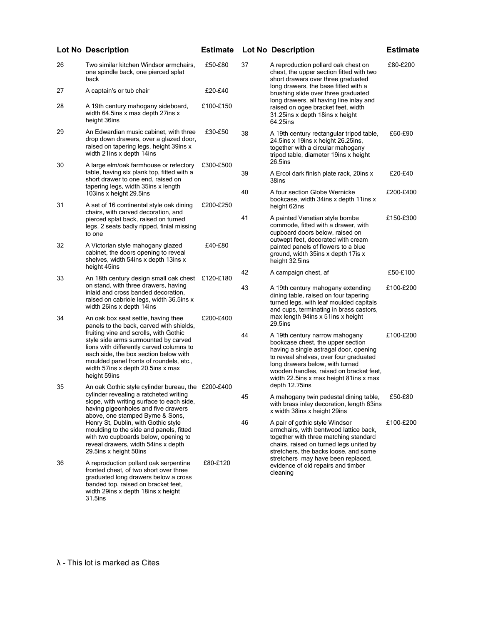## 26 Two similar kitchen Windsor armchairs, one spindle back, one pierced splat back £50-£80 27 A captain's or tub chair **E20-£40** 28 A 19th century mahogany sideboard, width 64.5ins x max depth 27ins x height 36ins £100-£150 29 An Edwardian music cabinet, with three drop down drawers, over a glazed door, raised on tapering legs, height 39ins x width 21ins x depth 14ins £30-£50 30 A large elm/oak farmhouse or refectory table, having six plank top, fitted with a short drawer to one end, raised on tapering legs, width 35ins x length 103ins x height 29.5ins £300-£500 31 A set of 16 continental style oak dining chairs, with carved decoration, and pierced splat back, raised on turned legs, 2 seats badly ripped, finial missing to one £200-£250 32 A Victorian style mahogany glazed cabinet, the doors opening to reveal shelves, width 54ins x depth 13ins x height 45ins £40-£80 33 An 18th century design small oak chest £120-£180 on stand, with three drawers, having inlaid and cross banded decoration, raised on cabriole legs, width 36.5ins x width 26ins x depth 14ins 34 An oak box seat settle, having thee panels to the back, carved with shields, fruiting vine and scrolls, with Gothic style side arms surmounted by carved lions with differently carved columns to each side, the box section below with moulded panel fronts of roundels, etc., width 57ins x depth 20.5ins x max height 59ins £200-£400 35 An oak Gothic style cylinder bureau, the £200-£400 cylinder revealing a ratcheted writing slope, with writing surface to each side, having pigeonholes and five drawers above, one stamped Byrne & Sons, Henry St, Dublin, with Gothic style moulding to the side and panels, fitted with two cupboards below, opening to reveal drawers, width 54ins x depth 29.5ins x height 50ins 36 A reproduction pollard oak serpentine fronted chest, of two short over three graduated long drawers below a cross banded top, raised on bracket feet, width 29ins x depth 18ins x height £80-£120 stretchers may have been replaced, evidence of old repairs and timber cleaning **Lot No Description Estimate Lot No Description Estimate**

## 37 A reproduction pollard oak chest on chest, the upper section fitted with two short drawers over three graduated long drawers, the base fitted with a brushing slide over three graduated long drawers, all having line inlay and raised on ogee bracket feet, width 31.25ins x depth 18ins x height 64.25ins £80-£200 38 A 19th century rectangular tripod table, 24.5ins x 19ins x height 26.25ins, together with a circular mahogany tripod table, diameter 19ins x height 26.5ins £60-£90 39 A Ercol dark finish plate rack, 20ins x 38ins £20-£40 40 A four section Globe Wernicke bookcase, width 34ins x depth 11ins x height 62ins £200-£400 41 A painted Venetian style bombe commode, fitted with a drawer, with cupboard doors below, raised on outwept feet, decorated with cream painted panels of flowers to a blue ground, width 35ins x depth 17is x height 32.5ins £150-£300 42 A campaign chest, af £50-£100 43 A 19th century mahogany extending dining table, raised on four tapering turned legs, with leaf moulded capitals and cups, terminating in brass castors, max length 94ins x 51ins x height 29.5ins £100-£200 44 A 19th century narrow mahogany bookcase chest, the upper section having a single astragal door, opening to reveal shelves, over four graduated long drawers below, with turned wooden handles, raised on bracket feet, width 22.5ins x max height 81ins x max depth 12.75ins £100-£200 45 A mahogany twin pedestal dining table, with brass inlay decoration, length 63ins x width 38ins x height 29ins £50-£80 46 A pair of gothic style Windsor armchairs, with bentwood lattice back, together with three matching standard chairs, raised on turned legs united by stretchers, the backs loose, and some £100-£200

31.5ins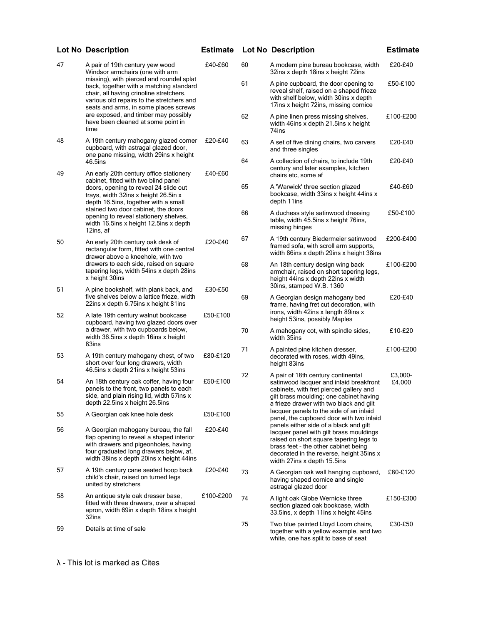|    | <b>Lot No Description</b>                                                                                                                                                                                                   | <b>Estimate</b> |    | <b>Lot No Description</b>                                                                                                                                                                                                                       | <b>Estimate</b>   |
|----|-----------------------------------------------------------------------------------------------------------------------------------------------------------------------------------------------------------------------------|-----------------|----|-------------------------------------------------------------------------------------------------------------------------------------------------------------------------------------------------------------------------------------------------|-------------------|
| 47 | A pair of 19th century yew wood<br>Windsor armchairs (one with arm                                                                                                                                                          | £40-£60         | 60 | A modern pine bureau bookcase, width<br>32ins x depth 18ins x height 72ins                                                                                                                                                                      | £20-£40           |
|    | missing), with pierced and roundel splat<br>back, together with a matching standard<br>chair, all having crinoline stretchers,<br>various old repairs to the stretchers and<br>seats and arms, in some places screws        |                 | 61 | A pine cupboard, the door opening to<br>reveal shelf, raised on a shaped frieze<br>with shelf below, width 30ins x depth<br>17ins x height 72ins, missing cornice                                                                               | £50-£100          |
|    | are exposed, and timber may possibly<br>have been cleaned at some point in<br>time                                                                                                                                          |                 | 62 | A pine linen press missing shelves,<br>width 46ins x depth 21.5ins x height<br>74ins                                                                                                                                                            | £100-£200         |
| 48 | A 19th century mahogany glazed corner<br>cupboard, with astragal glazed door,<br>one pane missing, width 29ins x height                                                                                                     | £20-£40         | 63 | A set of five dining chairs, two carvers<br>and three singles                                                                                                                                                                                   | £20-£40           |
| 49 | 46.5ins<br>An early 20th century office stationery                                                                                                                                                                          | £40-£60         | 64 | A collection of chairs, to include 19th<br>century and later examples, kitchen<br>chairs etc, some af                                                                                                                                           | £20-£40           |
|    | cabinet, fitted with two blind panel<br>doors, opening to reveal 24 slide out<br>trays, width 32ins x height 26.5in x<br>depth 16.5ins, together with a small                                                               |                 | 65 | A 'Warwick' three section glazed<br>bookcase, width 33ins x height 44ins x<br>depth 11ins                                                                                                                                                       | £40-£60           |
|    | stained two door cabinet, the doors<br>opening to reveal stationery shelves,<br>width 16.5ins x height 12.5ins x depth<br>12ins, af                                                                                         |                 | 66 | A duchess style satinwood dressing<br>table, width 45.5ins x height 76ins,<br>missing hinges                                                                                                                                                    | £50-£100          |
| 50 | An early 20th century oak desk of<br>rectangular form, fitted with one central<br>drawer above a kneehole, with two<br>drawers to each side, raised on square<br>tapering legs, width 54ins x depth 28ins<br>x height 30ins | £20-£40         | 67 | A 19th century Biedermeier satinwood<br>framed sofa, with scroll arm supports,<br>width 86ins x depth 29ins x height 38ins                                                                                                                      | £200-£400         |
|    |                                                                                                                                                                                                                             |                 | 68 | An 18th century design wing back<br>armchair, raised on short tapering legs,<br>height 44ins x depth 22ins x width                                                                                                                              | £100-£200         |
| 51 | A pine bookshelf, with plank back, and<br>five shelves below a lattice frieze, width<br>22ins x depth 6.75ins x height 81ins                                                                                                | £30-£50         | 69 | 30ins, stamped W.B. 1360<br>A Georgian design mahogany bed<br>frame, having fret cut decoration, with                                                                                                                                           | £20-£40           |
| 52 | A late 19th century walnut bookcase<br>cupboard, having two glazed doors over                                                                                                                                               | £50-£100        |    | irons, width 42ins x length 89ins x<br>height 53ins, possibly Maples                                                                                                                                                                            |                   |
|    | a drawer, with two cupboards below,<br>width 36.5ins x depth 16ins x height<br>83ins                                                                                                                                        |                 | 70 | A mahogany cot, with spindle sides,<br>width 35ins                                                                                                                                                                                              | £10-£20           |
| 53 | A 19th century mahogany chest, of two<br>short over four long drawers, width<br>46.5ins x depth 21ins x height 53ins                                                                                                        | £80-£120        | 71 | A painted pine kitchen dresser,<br>decorated with roses, width 49ins,<br>height 83ins                                                                                                                                                           | £100-£200         |
| 54 | An 18th century oak coffer, having four<br>panels to the front, two panels to each<br>side, and plain rising lid, width 57ins x<br>depth 22.5ins x height 26.5ins                                                           | £50-£100        | 72 | A pair of 18th century continental<br>satinwood lacquer and inlaid breakfront<br>cabinets, with fret pierced gallery and<br>gilt brass moulding; one cabinet having<br>a frieze drawer with two black and gilt                                  | £3,000-<br>£4,000 |
| 55 | A Georgian oak knee hole desk                                                                                                                                                                                               | £50-£100        |    | lacquer panels to the side of an inlaid<br>panel, the cupboard door with two inlaid                                                                                                                                                             |                   |
| 56 | A Georgian mahogany bureau, the fall<br>flap opening to reveal a shaped interior<br>with drawers and pigeonholes, having<br>four graduated long drawers below, af,<br>width 38ins x depth 20ins x height 44ins              | £20-£40         |    | panels either side of a black and gilt<br>lacquer panel with gilt brass mouldings<br>raised on short square tapering legs to<br>brass feet - the other cabinet being<br>decorated in the reverse, height 35ins x<br>width 27ins x depth 15.5ins |                   |
| 57 | A 19th century cane seated hoop back<br>child's chair, raised on turned legs<br>united by stretchers                                                                                                                        | £20-£40         | 73 | A Georgian oak wall hanging cupboard,<br>having shaped cornice and single<br>astragal glazed door                                                                                                                                               | £80-£120          |
| 58 | An antique style oak dresser base,<br>fitted with three drawers, over a shaped<br>apron, width 69in x depth 18ins x height<br>32ins                                                                                         | £100-£200       | 74 | A light oak Globe Wernicke three<br>section glazed oak bookcase, width<br>33.5ins, x depth 11ins x height 45ins                                                                                                                                 | £150-£300         |
| 59 | Details at time of sale                                                                                                                                                                                                     |                 | 75 | Two blue painted Lloyd Loom chairs,<br>together with a yellow example, and two<br>white, one has split to base of seat                                                                                                                          | £30-£50           |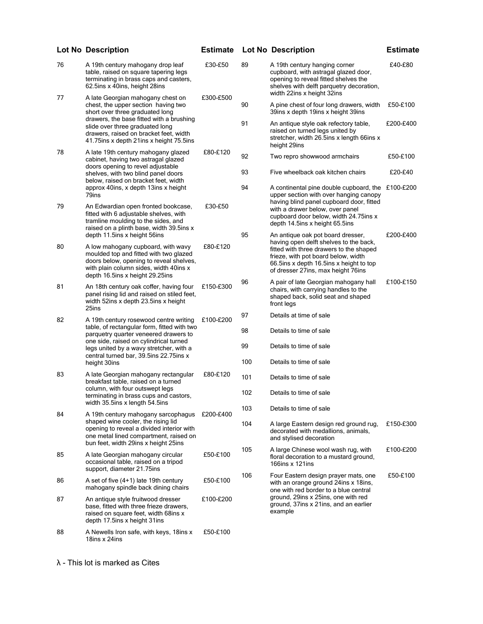|    | <b>Lot No Description</b>                                                                                                                                                                                                                                     | <b>Estimate</b> |     | <b>Lot No Description</b>                                                                                                                                                                                                                   | <b>Estimate</b> |
|----|---------------------------------------------------------------------------------------------------------------------------------------------------------------------------------------------------------------------------------------------------------------|-----------------|-----|---------------------------------------------------------------------------------------------------------------------------------------------------------------------------------------------------------------------------------------------|-----------------|
| 76 | A 19th century mahogany drop leaf<br>table, raised on square tapering legs<br>terminating in brass caps and casters,<br>62.5ins x 40ins, height 28ins                                                                                                         | £30-£50         | 89  | A 19th century hanging corner<br>cupboard, with astragal glazed door,<br>opening to reveal fitted shelves the<br>shelves with delft parquetry decoration,                                                                                   | £40-£80         |
| 77 | A late Georgian mahogany chest on<br>chest, the upper section having two<br>short over three graduated long                                                                                                                                                   | £300-£500       | 90  | width 22ins x height 32ins<br>A pine chest of four long drawers, width<br>39ins x depth 19ins x height 39ins                                                                                                                                | £50-£100        |
|    | drawers, the base fitted with a brushing<br>slide over three graduated long<br>drawers, raised on bracket feet, width<br>41.75 ins x depth 21 ins x height 75.5 ins                                                                                           |                 | 91  | An antique style oak refectory table,<br>raised on turned legs united by<br>stretcher, width 26.5ins x length 66ins x<br>height 29ins                                                                                                       | £200-£400       |
| 78 | A late 19th century mahogany glazed<br>cabinet, having two astragal glazed                                                                                                                                                                                    | £80-£120        | 92  | Two repro showwood armchairs                                                                                                                                                                                                                | £50-£100        |
|    | doors opening to revel adjustable<br>shelves, with two blind panel doors<br>below, raised on bracket feet, width                                                                                                                                              |                 | 93  | Five wheelback oak kitchen chairs                                                                                                                                                                                                           | £20-£40         |
| 79 | approx 40ins, x depth 13ins x height<br>79ins<br>An Edwardian open fronted bookcase,<br>fitted with 6 adjustable shelves, with<br>tramline moulding to the sides, and                                                                                         | £30-£50         | 94  | A continental pine double cupboard, the<br>upper section with over hanging canopy<br>having blind panel cupboard door, fitted<br>with a drawer below, over panel<br>cupboard door below, width 24.75ins x<br>depth 14.5ins x height 65.5ins | £100-£200       |
| 80 | raised on a plinth base, width 39.5ins x<br>depth 11.5ins x height 56ins<br>A low mahogany cupboard, with wavy<br>moulded top and fitted with two glazed<br>doors below, opening to reveal shelves,                                                           | £80-£120        | 95  | An antique oak pot board dresser,<br>having open delft shelves to the back,<br>fitted with three drawers to the shaped<br>frieze, with pot board below, width<br>66.5ins x depth 16.5ins x height to top                                    | £200-£400       |
|    | with plain column sides, width 40ins x<br>depth 16.5ins x height 29.25ins                                                                                                                                                                                     |                 | 96  | of dresser 27ins, max height 76ins<br>A pair of late Georgian mahogany hall                                                                                                                                                                 | £100-£150       |
| 81 | An 18th century oak coffer, having four<br>panel rising lid and raised on stiled feet,<br>width 52ins x depth 23.5ins x height<br>25ins                                                                                                                       | £150-£300       |     | chairs, with carrying handles to the<br>shaped back, solid seat and shaped<br>front legs                                                                                                                                                    |                 |
| 82 | A 19th century rosewood centre writing<br>table, of rectangular form, fitted with two<br>parquetry quarter veneered drawers to<br>one side, raised on cylindrical turned<br>legs united by a wavy stretcher, with a<br>central turned bar, 39.5ins 22.75ins x | £100-£200       | 97  | Details at time of sale                                                                                                                                                                                                                     |                 |
|    |                                                                                                                                                                                                                                                               |                 | 98  | Details to time of sale                                                                                                                                                                                                                     |                 |
|    |                                                                                                                                                                                                                                                               |                 | 99  | Details to time of sale                                                                                                                                                                                                                     |                 |
|    | height 30ins                                                                                                                                                                                                                                                  |                 | 100 | Details to time of sale                                                                                                                                                                                                                     |                 |
| 83 | A late Georgian mahogany rectangular<br>breakfast table, raised on a turned                                                                                                                                                                                   | £80-£120        | 101 | Details to time of sale                                                                                                                                                                                                                     |                 |
|    | column, with four outswept legs<br>terminating in brass cups and castors,<br>width 35.5ins x length 54.5ins                                                                                                                                                   |                 | 102 | Details to time of sale                                                                                                                                                                                                                     |                 |
| 84 | A 19th century mahogany sarcophagus                                                                                                                                                                                                                           | £200-£400       | 103 | Details to time of sale                                                                                                                                                                                                                     |                 |
|    | shaped wine cooler, the rising lid<br>opening to reveal a divided interior with<br>one metal lined compartment, raised on<br>bun feet, width 29ins x height 25ins                                                                                             |                 | 104 | A large Eastern design red ground rug,<br>decorated with medallions, animals,<br>and stylised decoration                                                                                                                                    | £150-£300       |
| 85 | A late Georgian mahogany circular<br>occasional table, raised on a tripod<br>support, diameter 21.75ins                                                                                                                                                       | £50-£100        | 105 | A large Chinese wool wash rug, with<br>floral decoration to a mustard ground,<br>166ins x 121ins                                                                                                                                            | £100-£200       |
| 86 | A set of five (4+1) late 19th century<br>mahogany spindle back dining chairs                                                                                                                                                                                  | £50-£100        | 106 | Four Eastern design prayer mats, one<br>with an orange ground 24ins x 18ins,<br>one with red border to a blue central                                                                                                                       | £50-£100        |
| 87 | An antique style fruitwood dresser<br>base, fitted with three frieze drawers,<br>raised on square feet, width 68ins x<br>depth 17.5ins x height 31ins                                                                                                         | £100-£200       |     | ground, 29ins x 25ins, one with red<br>ground, 37ins x 21ins, and an earlier<br>example                                                                                                                                                     |                 |
| 88 | A Newells Iron safe, with keys, 18ins x<br>18ins x 24ins                                                                                                                                                                                                      | £50-£100        |     |                                                                                                                                                                                                                                             |                 |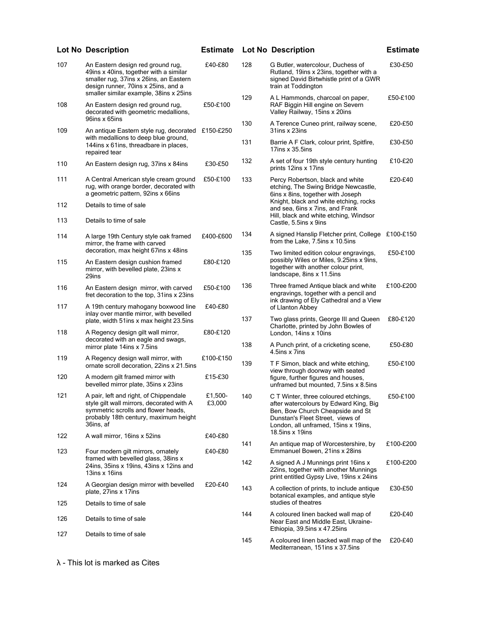|            | <b>Lot No Description</b>                                                                                                                                                                              | <b>Estimate</b>     |     | <b>Lot No Description</b>                                                                                                                                                                                           | <b>Estimate</b> |
|------------|--------------------------------------------------------------------------------------------------------------------------------------------------------------------------------------------------------|---------------------|-----|---------------------------------------------------------------------------------------------------------------------------------------------------------------------------------------------------------------------|-----------------|
| 107        | An Eastern design red ground rug,<br>49ins x 40ins, together with a similar<br>smaller rug, 37ins x 26ins, an Eastern<br>design runner, 70ins x 25ins, and a<br>smaller similar example, 38ins x 25ins | £40-£80             | 128 | G Butler, watercolour, Duchess of<br>Rutland, 19ins x 23ins, together with a<br>signed David Birtwhistle print of a GWR<br>train at Toddington                                                                      | £30-£50         |
| 108        | An Eastern design red ground rug,<br>decorated with geometric medallions,<br>96ins x 65ins                                                                                                             | £50-£100            | 129 | A L Hammonds, charcoal on paper,<br>RAF Biggin Hill engine on Severn<br>Valley Railway, 15ins x 20ins                                                                                                               | £50-£100        |
| 109        | An antique Eastern style rug, decorated                                                                                                                                                                | £150-£250           | 130 | A Terence Cuneo print, railway scene,<br>31ins x 23ins                                                                                                                                                              | £20-£50         |
|            | with medallions to deep blue ground,<br>144ins x 61ins, threadbare in places,<br>repaired tear                                                                                                         |                     | 131 | Barrie A F Clark, colour print, Spitfire,<br>17ins $x$ 35.5ins                                                                                                                                                      | £30-£50         |
| 110        | An Eastern design rug, 37ins x 84ins                                                                                                                                                                   | £30-£50             | 132 | A set of four 19th style century hunting<br>prints 12ins x 17ins                                                                                                                                                    | £10-£20         |
| 111        | A Central American style cream ground<br>rug, with orange border, decorated with<br>a geometric pattern, 92ins x 66ins                                                                                 | £50-£100            | 133 | Percy Robertson, black and white<br>etching, The Swing Bridge Newcastle,<br>6ins x 8ins, together with Joseph                                                                                                       | £20-£40         |
| 112        | Details to time of sale                                                                                                                                                                                |                     |     | Knight, black and white etching, rocks<br>and sea, 6ins x 7ins, and Frank                                                                                                                                           |                 |
| 113        | Details to time of sale                                                                                                                                                                                |                     |     | Hill, black and white etching, Windsor<br>Castle, 5.5ins x 9ins                                                                                                                                                     |                 |
| 114        | A large 19th Century style oak framed<br>mirror, the frame with carved                                                                                                                                 | £400-£600           | 134 | A signed Hanslip Fletcher print, College £100-£150<br>from the Lake, 7.5ins x 10.5ins                                                                                                                               |                 |
| 115        | decoration, max height 67ins x 48ins<br>An Eastern design cushion framed<br>mirror, with bevelled plate, 23ins x<br>29ins                                                                              | £80-£120            | 135 | Two limited edition colour engravings,<br>possibly Wiles or Miles, 9.25ins x 9ins,<br>together with another colour print,<br>landscape, 8ins x 11.5ins                                                              | £50-£100        |
| 116<br>117 | An Eastern design mirror, with carved<br>fret decoration to the top, 31ins x 23ins<br>A 19th century mahogany boxwood line                                                                             | £50-£100<br>£40-£80 | 136 | Three framed Antique black and white<br>engravings, together with a pencil and<br>ink drawing of Ely Cathedral and a View                                                                                           | £100-£200       |
|            | inlay over mantle mirror, with bevelled<br>plate, width 51ins x max height 23.5ins                                                                                                                     |                     | 137 | of Llanton Abbey<br>Two glass prints, George III and Queen                                                                                                                                                          | £80-£120        |
| 118        | A Regency design gilt wall mirror,<br>decorated with an eagle and swags,                                                                                                                               | £80-£120            |     | Charlotte, printed by John Bowles of<br>London, 14ins x 10ins                                                                                                                                                       |                 |
| 119        | mirror plate 14ins x 7.5ins<br>A Regency design wall mirror, with                                                                                                                                      | £100-£150           | 138 | A Punch print, of a cricketing scene,<br>4.5ins x 7ins                                                                                                                                                              | £50-£80         |
|            | ornate scroll decoration, 22ins x 21.5ins                                                                                                                                                              |                     | 139 | T F Simon, black and white etching,<br>view through doorway with seated                                                                                                                                             | £50-£100        |
| 120        | A modern gilt framed mirror with<br>bevelled mirror plate, 35ins x 23ins                                                                                                                               | £15-£30             |     | figure, further figures and houses,<br>unframed but mounted, 7.5ins x 8.5ins                                                                                                                                        |                 |
| 121        | A pair, left and right, of Chippendale<br>style gilt wall mirrors, decorated with A<br>symmetric scrolls and flower heads,<br>probably 18th century, maximum height<br>36ins, af                       | £1,500-<br>£3,000   | 140 | C T Winter, three coloured etchings,<br>after watercolours by Edward King, Big<br>Ben, Bow Church Cheapside and St<br>Dunstan's Fleet Street, views of<br>London, all unframed, 15ins x 19ins,<br>18.5ins $x$ 19ins | £50-£100        |
| 122        | A wall mirror, 16ins x 52ins                                                                                                                                                                           | £40-£80             | 141 | An antique map of Worcestershire, by                                                                                                                                                                                | £100-£200       |
| 123        | Four modern gilt mirrors, ornately<br>framed with bevelled glass, 38ins x<br>24ins, 35ins x 19ins, 43ins x 12ins and                                                                                   | £40-£80             | 142 | Emmanuel Bowen, 21ins x 28ins<br>A signed A J Munnings print 16ins x                                                                                                                                                | £100-£200       |
|            | 13ins x 16ins                                                                                                                                                                                          |                     |     | 22ins, together with another Munnings<br>print entitled Gypsy Live, 19ins x 24ins                                                                                                                                   |                 |
| 124        | A Georgian design mirror with bevelled<br>plate, 27ins x 17ins                                                                                                                                         | £20-£40             | 143 | A collection of prints, to include antique<br>botanical examples, and antique style<br>studies of theatres                                                                                                          | £30-£50         |
| 125        | Details to time of sale                                                                                                                                                                                |                     | 144 | A coloured linen backed wall map of                                                                                                                                                                                 | £20-£40         |
| 126        | Details to time of sale                                                                                                                                                                                |                     |     | Near East and Middle East, Ukraine-<br>Ethiopia, 39.5ins x 47.25ins                                                                                                                                                 |                 |
| 127        | Details to time of sale                                                                                                                                                                                |                     | 145 | A coloured linen backed wall map of the<br>Mediterranean, 151ins x 37.5ins                                                                                                                                          | £20-£40         |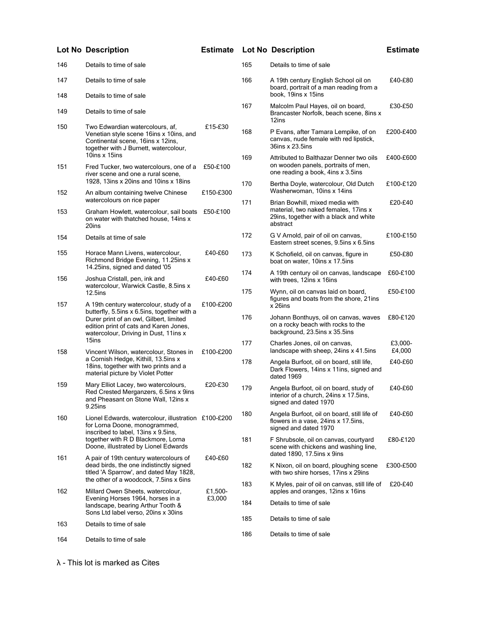| 146 | Details to time of sale                                                                                                                                                   |           | 165 | Details to time of sale                                                                                                       |                   |
|-----|---------------------------------------------------------------------------------------------------------------------------------------------------------------------------|-----------|-----|-------------------------------------------------------------------------------------------------------------------------------|-------------------|
| 147 | Details to time of sale                                                                                                                                                   |           | 166 | A 19th century English School oil on<br>board, portrait of a man reading from a                                               | £40-£80           |
| 148 | Details to time of sale                                                                                                                                                   |           |     | book, 19ins x 15ins                                                                                                           |                   |
| 149 | Details to time of sale                                                                                                                                                   |           | 167 | Malcolm Paul Hayes, oil on board,<br>Brancaster Norfolk, beach scene, 8ins x<br>12ins                                         | £30-£50           |
| 150 | Two Edwardian watercolours, af,<br>Venetian style scene 16ins x 10ins, and<br>Continental scene, 16ins x 12ins,<br>together with J Burnett, watercolour,                  | £15-£30   | 168 | P Evans, after Tamara Lempike, of on<br>canvas, nude female with red lipstick,<br>36ins x 23.5ins                             | £200-£400         |
| 151 | 10ins x 15ins<br>Fred Tucker, two watercolours, one of a<br>river scene and one a rural scene,                                                                            | £50-£100  | 169 | Attributed to Balthazar Denner two oils<br>on wooden panels, portraits of men,<br>one reading a book, 4ins x 3.5ins           | £400-£600         |
|     | 1928, 13ins x 20ins and 10ins x 18ins                                                                                                                                     |           | 170 | Bertha Doyle, watercolour, Old Dutch                                                                                          | £100-£120         |
| 152 | An album containing twelve Chinese                                                                                                                                        | £150-£300 |     | Washerwoman, 10ins x 14ins                                                                                                    |                   |
| 153 | watercolours on rice paper<br>Graham Howlett, watercolour, sail boats<br>on water with thatched house, 14ins x<br>20ins                                                   | £50-£100  | 171 | Brian Bowhill, mixed media with<br>material, two naked females, 17ins x<br>29ins, together with a black and white<br>abstract | £20-£40           |
| 154 | Details at time of sale                                                                                                                                                   |           | 172 | G V Arnold, pair of oil on canvas,<br>Eastern street scenes, 9.5ins x 6.5ins                                                  | £100-£150         |
| 155 | Horace Mann Livens, watercolour,<br>Richmond Bridge Evening, 11.25ins x                                                                                                   | £40-£60   | 173 | K Schofield, oil on canvas, figure in<br>boat on water, 10ins x 17.5ins                                                       | £50-£80           |
| 156 | 14.25ins, signed and dated '05<br>Joshua Cristall, pen, ink and                                                                                                           | £40-£60   | 174 | A 19th century oil on canvas, landscape<br>with trees, 12ins x 16ins                                                          | £60-£100          |
| 157 | watercolour, Warwick Castle, 8.5ins x<br><b>12.5ins</b><br>A 19th century watercolour, study of a                                                                         | £100-£200 | 175 | Wynn, oil on canvas laid on board,<br>figures and boats from the shore, 21ins<br>$x$ 26ins                                    | £50-£100          |
|     | butterfly, 5.5ins x 6.5ins, together with a<br>Durer print of an owl, Gilbert, limited<br>edition print of cats and Karen Jones,<br>watercolour, Driving in Dust, 11ins x |           | 176 | Johann Bonthuys, oil on canvas, waves<br>on a rocky beach with rocks to the<br>background, 23.5ins x 35.5ins                  | £80-£120          |
| 158 | 15ins<br>Vincent Wilson, watercolour, Stones in                                                                                                                           | £100-£200 | 177 | Charles Jones, oil on canvas,<br>landscape with sheep, 24ins x 41.5ins                                                        | £3,000-<br>£4,000 |
|     | a Cornish Hedge, Kithill, 13.5ins x<br>18ins, together with two prints and a<br>material picture by Violet Potter                                                         |           | 178 | Angela Burfoot, oil on board, still life,<br>Dark Flowers, 14ins x 11ins, signed and<br>dated 1969                            | £40-£60           |
| 159 | Mary Elliot Lacey, two watercolours,<br>Red Crested Merganzers, 6.5ins x 9ins<br>and Pheasant on Stone Wall, 12ins x<br>9.25ins                                           | £20-£30   | 179 | Angela Burfoot, oil on board, study of<br>interior of a church, 24ins x 17.5ins,<br>signed and dated 1970                     | £40-£60           |
| 160 | Lionel Edwards, watercolour, illustration £100-£200<br>for Lorna Doone, monogrammed,<br>inscribed to label, 13ins x 9.5ins,                                               |           | 180 | Angela Burfoot, oil on board, still life of<br>flowers in a vase, 24ins x 17.5ins,<br>signed and dated 1970                   | £40-£60           |
|     | together with R D Blackmore, Lorna<br>Doone, illustrated by Lionel Edwards                                                                                                |           | 181 | F Shrubsole, oil on canvas, courtyard<br>scene with chickens and washing line,                                                | £80-£120          |
| 161 | A pair of 19th century watercolours of<br>dead birds, the one indistinctly signed<br>titled 'A Sparrow', and dated May 1828,                                              | £40-£60   | 182 | dated $1890, 17.5$ ins x 9ins<br>K Nixon, oil on board, ploughing scene<br>with two shire horses, 17ins x 29ins               | £300-£500         |
| 162 | the other of a woodcock, 7.5ins x 6ins<br>Millard Owen Sheets, watercolour,                                                                                               | £1,500-   | 183 | K Myles, pair of oil on canvas, still life of<br>apples and oranges, 12ins x 16ins                                            | £20-£40           |
|     | Evening Horses 1964, horses in a<br>landscape, bearing Arthur Tooth &<br>Sons Ltd label verso, 20ins x 30ins                                                              | £3,000    | 184 | Details to time of sale                                                                                                       |                   |
| 163 | Details to time of sale                                                                                                                                                   |           | 185 | Details to time of sale                                                                                                       |                   |
|     |                                                                                                                                                                           |           | 186 | Details to time of sale                                                                                                       |                   |
| 164 | Details to time of sale                                                                                                                                                   |           |     |                                                                                                                               |                   |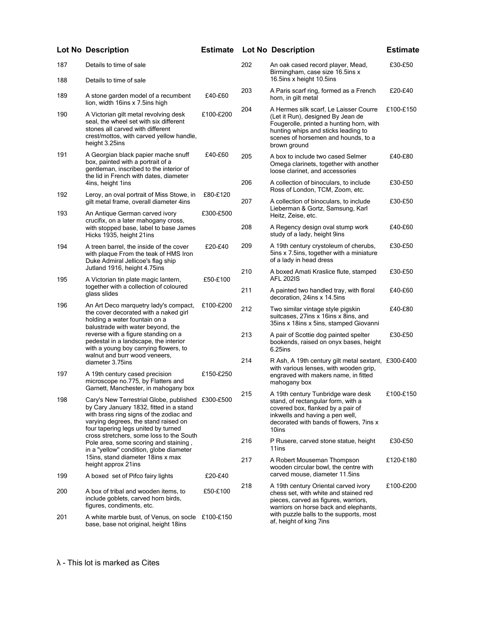|     | <b>Lot No Description</b>                                                                                                                                                                                                                                                                                      | <b>Estimate</b> |     | <b>Lot No Description</b>                                                                                                                                                                                             | <b>Estimate</b> |
|-----|----------------------------------------------------------------------------------------------------------------------------------------------------------------------------------------------------------------------------------------------------------------------------------------------------------------|-----------------|-----|-----------------------------------------------------------------------------------------------------------------------------------------------------------------------------------------------------------------------|-----------------|
| 187 | Details to time of sale                                                                                                                                                                                                                                                                                        |                 | 202 | An oak cased record player, Mead,<br>Birmingham, case size 16.5ins x                                                                                                                                                  | £30-£50         |
| 188 | Details to time of sale                                                                                                                                                                                                                                                                                        |                 |     | 16.5ins x height 10.5ins                                                                                                                                                                                              |                 |
| 189 | A stone garden model of a recumbent<br>lion, width 16ins x 7.5ins high                                                                                                                                                                                                                                         | £40-£60         | 203 | A Paris scarf ring, formed as a French<br>horn, in gilt metal                                                                                                                                                         | £20-£40         |
| 190 | A Victorian gilt metal revolving desk<br>seal, the wheel set with six different<br>stones all carved with different<br>crest/mottos, with carved yellow handle,<br>height 3.25ins                                                                                                                              | £100-£200       | 204 | A Hermes silk scarf, Le Laisser Courre<br>(Let it Run), designed By Jean de<br>Fougerolle, printed a hunting horn, with<br>hunting whips and sticks leading to<br>scenes of horsemen and hounds, to a<br>brown ground | £100-£150       |
| 191 | A Georgian black papier mache snuff<br>box, painted with a portrait of a<br>gentleman, inscribed to the interior of<br>the lid in French with dates, diameter                                                                                                                                                  | £40-£60         | 205 | A box to include two cased Selmer<br>Omega clarinets, together with another<br>loose clarinet, and accessories                                                                                                        | £40-£80         |
| 192 | 4ins, height 1ins<br>Leroy, an oval portrait of Miss Stowe, in                                                                                                                                                                                                                                                 | £80-£120        | 206 | A collection of binoculars, to include<br>Ross of London, TCM, Zoom, etc.                                                                                                                                             | £30-£50         |
| 193 | gilt metal frame, overall diameter 4ins<br>An Antique German carved ivory                                                                                                                                                                                                                                      | £300-£500       | 207 | A collection of binoculars, to include<br>Lieberman & Gortz, Samsung, Karl<br>Heitz, Zeise, etc.                                                                                                                      | £30-£50         |
|     | crucifix, on a later mahogany cross,<br>with stopped base, label to base James<br>Hicks 1935, height 21ins                                                                                                                                                                                                     |                 | 208 | A Regency design oval stump work<br>study of a lady, height 9ins                                                                                                                                                      | £40-£60         |
| 194 | A treen barrel, the inside of the cover<br>with plaque From the teak of HMS Iron<br>Duke Admiral Jellicoe's flag ship                                                                                                                                                                                          | £20-£40         | 209 | A 19th century crystoleum of cherubs,<br>5ins x 7.5ins, together with a miniature<br>of a lady in head dress                                                                                                          | £30-£50         |
| 195 | Jutland 1916, height 4.75ins<br>A Victorian tin plate magic lantern,                                                                                                                                                                                                                                           | £50-£100        | 210 | A boxed Amati Kraslice flute, stamped<br><b>AFL 202IS</b>                                                                                                                                                             | £30-£50         |
|     | together with a collection of coloured<br>glass slides                                                                                                                                                                                                                                                         |                 | 211 | A painted two handled tray, with floral<br>decoration, 24ins x 14.5ins                                                                                                                                                | £40-£60         |
| 196 | An Art Deco marquetry lady's compact,<br>the cover decorated with a naked girl<br>holding a water fountain on a<br>balustrade with water beyond, the<br>reverse with a figure standing on a<br>pedestal in a landscape, the interior<br>with a young boy carrying flowers, to<br>walnut and burr wood veneers, | £100-£200       | 212 | Two similar vintage style pigskin<br>suitcases, 27ins x 16ins x 8ins, and<br>35ins x 18ins x 5ins, stamped Giovanni                                                                                                   | £40-£80         |
|     |                                                                                                                                                                                                                                                                                                                |                 | 213 | A pair of Scottie dog painted spelter<br>bookends, raised on onyx bases, height<br>6.25ins                                                                                                                            | £30-£50         |
| 197 | diameter 3.75ins<br>A 19th century cased precision<br>microscope no.775, by Flatters and                                                                                                                                                                                                                       | £150-£250       | 214 | R Ash, A 19th century gilt metal sextant, £300-£400<br>with various lenses, with wooden grip,<br>engraved with makers name, in fitted<br>mahogany box                                                                 |                 |
| 198 | Garnett, Manchester, in mahogany box<br>Cary's New Terrestrial Globe, published £300-£500<br>by Cary January 1832, fitted in a stand<br>with brass ring signs of the zodiac and<br>varying degrees, the stand raised on<br>four tapering legs united by turned                                                 |                 | 215 | A 19th century Tunbridge ware desk<br>stand, of rectangular form, with a<br>covered box, flanked by a pair of<br>inkwells and having a pen well,<br>decorated with bands of flowers, 7ins x<br>10ins                  | £100-£150       |
|     | cross stretchers, some loss to the South<br>Pole area, some scoring and staining,<br>in a "yellow" condition, globe diameter                                                                                                                                                                                   |                 | 216 | P Rusere, carved stone statue, height<br>11ins                                                                                                                                                                        | £30-£50         |
|     | 15ins, stand diameter 18ins x max<br>height approx 21ins                                                                                                                                                                                                                                                       |                 | 217 | A Robert Mouseman Thompson<br>wooden circular bowl, the centre with                                                                                                                                                   | £120-£180       |
| 199 | A boxed set of Pifco fairy lights                                                                                                                                                                                                                                                                              | £20-£40         |     | carved mouse, diameter 11.5ins                                                                                                                                                                                        |                 |
| 200 | A box of tribal and wooden items, to<br>include goblets, carved horn birds,<br>figures, condiments, etc.                                                                                                                                                                                                       | £50-£100        | 218 | A 19th century Oriental carved ivory<br>chess set, with white and stained red<br>pieces, carved as figures, warriors,<br>warriors on horse back and elephants,                                                        | £100-£200       |
| 201 | A white marble bust, of Venus, on socle £100-£150<br>base, base not original, height 18ins                                                                                                                                                                                                                     |                 |     | with puzzle balls to the supports, most<br>af, height of king 7ins                                                                                                                                                    |                 |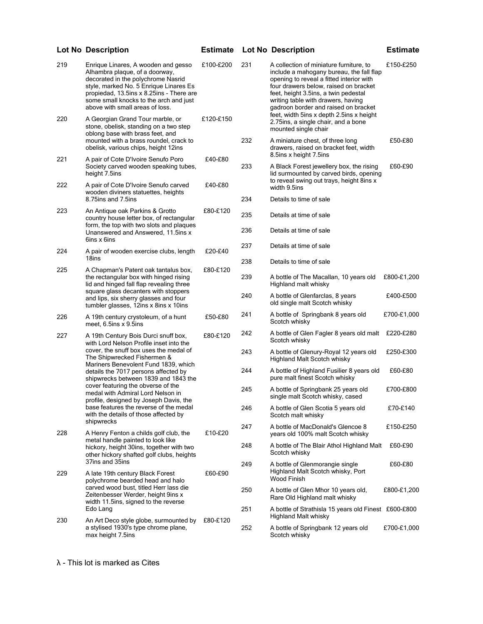| 219 | Enrique Linares, A wooden and gesso<br>Alhambra plaque, of a doorway,<br>decorated in the polychrome Nasrid<br>style, marked No. 5 Enrique Linares Es<br>propiedad, 13.5ins x 8.25ins - There are<br>some small knocks to the arch and just<br>above with small areas of loss. | £100-£200 | 231        | A collection of miniature furniture, to<br>include a mahogany bureau, the fall flap<br>opening to reveal a fitted interior with<br>four drawers below, raised on bracket<br>feet, height 3.5ins, a twin pedestal<br>writing table with drawers, having<br>gadroon border and raised on bracket | £150-£250   |
|-----|--------------------------------------------------------------------------------------------------------------------------------------------------------------------------------------------------------------------------------------------------------------------------------|-----------|------------|------------------------------------------------------------------------------------------------------------------------------------------------------------------------------------------------------------------------------------------------------------------------------------------------|-------------|
| 220 | A Georgian Grand Tour marble, or<br>stone, obelisk, standing on a two step<br>oblong base with brass feet, and                                                                                                                                                                 | £120-£150 |            | feet, width 5ins x depth 2.5ins x height<br>2.75ins, a single chair, and a bone<br>mounted single chair                                                                                                                                                                                        |             |
| 221 | mounted with a brass roundel, crack to<br>obelisk, various chips, height 12ins<br>A pair of Cote D'Ivoire Senufo Poro                                                                                                                                                          | £40-£80   | 232        | A miniature chest, of three long<br>drawers, raised on bracket feet, width<br>8.5 ins x height 7.5 ins                                                                                                                                                                                         | £50-£80     |
|     | Society carved wooden speaking tubes,<br>height 7.5ins                                                                                                                                                                                                                         |           | 233        | A Black Forest jewellery box, the rising<br>lid surmounted by carved birds, opening                                                                                                                                                                                                            | £60-£90     |
| 222 | A pair of Cote D'Ivoire Senufo carved<br>wooden diviners statuettes, heights                                                                                                                                                                                                   | £40-£80   | 234        | to reveal swing out trays, height 8ins x<br>width 9.5ins                                                                                                                                                                                                                                       |             |
| 223 | 8.75 ins and 7.5 ins<br>An Antique oak Parkins & Grotto                                                                                                                                                                                                                        | £80-£120  |            | Details to time of sale                                                                                                                                                                                                                                                                        |             |
|     | country house letter box, of rectangular<br>form, the top with two slots and plaques                                                                                                                                                                                           |           | 235<br>236 | Details at time of sale<br>Details at time of sale                                                                                                                                                                                                                                             |             |
|     | Unanswered and Answered, 11.5ins x<br>6ins x 6ins                                                                                                                                                                                                                              |           |            |                                                                                                                                                                                                                                                                                                |             |
| 224 | A pair of wooden exercise clubs, length                                                                                                                                                                                                                                        | £20-£40   | 237        | Details at time of sale                                                                                                                                                                                                                                                                        |             |
| 225 | 18ins<br>A Chapman's Patent oak tantalus box,                                                                                                                                                                                                                                  | £80-£120  | 238        | Details to time of sale                                                                                                                                                                                                                                                                        |             |
|     | the rectangular box with hinged rising<br>lid and hinged fall flap revealing three                                                                                                                                                                                             |           | 239        | A bottle of The Macallan, 10 years old<br>Highland malt whisky                                                                                                                                                                                                                                 | £800-£1,200 |
|     | square glass decanters with stoppers<br>and lips, six sherry glasses and four<br>tumbler glasses, 12ins x 8ins x 10ins                                                                                                                                                         |           | 240        | A bottle of Glenfarclas, 8 years<br>old single malt Scotch whisky                                                                                                                                                                                                                              | £400-£500   |
| 226 | A 19th century crystoleum, of a hunt<br>meet, 6.5ins x 9.5ins                                                                                                                                                                                                                  | £50-£80   | 241        | A bottle of Springbank 8 years old<br>Scotch whisky                                                                                                                                                                                                                                            | £700-£1,000 |
| 227 | A 19th Century Bois Durci snuff box,<br>with Lord Nelson Profile inset into the                                                                                                                                                                                                | £80-£120  | 242        | A bottle of Glen Fagler 8 years old malt £220-£280<br>Scotch whisky                                                                                                                                                                                                                            |             |
|     | cover, the snuff box uses the medal of<br>The Shipwrecked Fishermen &<br>Mariners Benevolent Fund 1839, which                                                                                                                                                                  |           | 243        | A bottle of Glenury-Royal 12 years old<br>Highland Malt Scotch whisky                                                                                                                                                                                                                          | £250-£300   |
|     | details the 7017 persons affected by<br>shipwrecks between 1839 and 1843 the                                                                                                                                                                                                   |           | 244        | A bottle of Highland Fusilier 8 years old<br>pure malt finest Scotch whisky                                                                                                                                                                                                                    | £60-£80     |
|     | cover featuring the obverse of the<br>medal with Admiral Lord Nelson in<br>profile, designed by Joseph Davis, the                                                                                                                                                              |           | 245        | A bottle of Springbank 25 years old<br>single malt Scotch whisky, cased                                                                                                                                                                                                                        | £700-£800   |
|     | base features the reverse of the medal<br>with the details of those affected by<br>shipwrecks                                                                                                                                                                                  |           | 246        | A bottle of Glen Scotia 5 years old<br>Scotch malt whisky                                                                                                                                                                                                                                      | £70-£140    |
| 228 | A Henry Fenton a childs golf club, the<br>metal handle painted to look like                                                                                                                                                                                                    | £10-£20   | 247        | A bottle of MacDonald's Glencoe 8<br>years old 100% malt Scotch whisky                                                                                                                                                                                                                         | £150-£250   |
|     | hickory, height 30ins, together with two<br>other hickory shafted golf clubs, heights                                                                                                                                                                                          |           | 248        | A bottle of The Blair Athol Highland Malt<br>Scotch whisky                                                                                                                                                                                                                                     | £60-£90     |
| 229 | 37ins and 35ins<br>A late 19th century Black Forest<br>polychrome bearded head and halo                                                                                                                                                                                        | £60-£90   | 249        | A bottle of Glenmorangie single<br>Highland Malt Scotch whisky, Port<br>Wood Finish                                                                                                                                                                                                            | £60-£80     |
|     | carved wood bust, titled Herr lass die<br>Zeitenbesser Werder, height 9ins x                                                                                                                                                                                                   |           | 250        | A bottle of Glen Mhor 10 years old,<br>Rare Old Highland malt whisky                                                                                                                                                                                                                           | £800-£1,200 |
| 230 | width 11.5ins, signed to the reverse<br>Edo Lang<br>An Art Deco style globe, surmounted by                                                                                                                                                                                     | £80-£120  | 251        | A bottle of Strathisla 15 years old Finest £600-£800<br>Highland Malt whisky                                                                                                                                                                                                                   |             |
|     | a stylised 1930's type chrome plane,<br>max height 7.5ins                                                                                                                                                                                                                      |           | 252        | A bottle of Springbank 12 years old<br>Scotch whisky                                                                                                                                                                                                                                           | £700-£1,000 |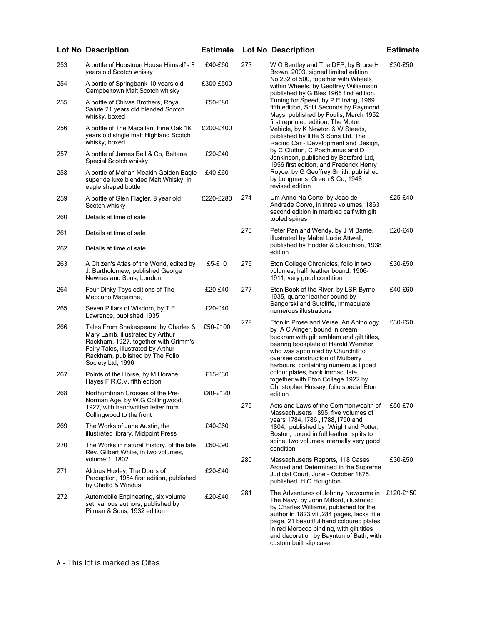| 253 | A bottle of Houstoun House Himself's 8<br>years old Scotch whisky                                                                                                                                              | £40-£60   | 27 |
|-----|----------------------------------------------------------------------------------------------------------------------------------------------------------------------------------------------------------------|-----------|----|
| 254 | A bottle of Springbank 10 years old<br>Campbeltown Malt Scotch whisky                                                                                                                                          | £300-£500 |    |
| 255 | A bottle of Chivas Brothers, Royal<br>Salute 21 years old blended Scotch<br>whisky, boxed                                                                                                                      | £50-£80   |    |
| 256 | A bottle of The Macallan, Fine Oak 18<br>years old single malt Highland Scotch<br>whisky, boxed                                                                                                                | £200-£400 |    |
| 257 | A bottle of James Bell & Co, Beltane<br>Special Scotch whisky                                                                                                                                                  | £20-£40   |    |
| 258 | A bottle of Mohan Meakin Golden Eagle<br>super de luxe blended Malt Whisky, in<br>eagle shaped bottle                                                                                                          | £40-£60   |    |
| 259 | A bottle of Glen Flagler, 8 year old<br>Scotch whisky                                                                                                                                                          | £220-£280 | 27 |
| 260 | Details at time of sale                                                                                                                                                                                        |           |    |
| 261 | Details at time of sale                                                                                                                                                                                        |           | 27 |
| 262 | Details at time of sale                                                                                                                                                                                        |           |    |
| 263 | A Citizen's Atlas of the World, edited by<br>J. Bartholomew, published George<br>Newnes and Sons. London                                                                                                       | £5-£10    | 27 |
| 264 | Four Dinky Toys editions of The<br>Meccano Magazine,                                                                                                                                                           | £20-£40   | 27 |
| 265 | Seven Pillars of Wisdom, by T E<br>Lawrence, published 1935                                                                                                                                                    | £20-£40   |    |
| 266 | Tales From Shakespeare, by Charles &<br>Mary Lamb, illustrated by Arthur<br>Rackham, 1927, together with Grimm's<br>Fairy Tales, illustrated by Arthur<br>Rackham, published by The Folio<br>Society Ltd, 1996 | £50-£100  | 27 |
| 267 | Points of the Horse, by M Horace<br>Hayes F.R.C.V, fifth edition                                                                                                                                               | £15-£30   |    |
| 268 | Northumbrian Crosses of the Pre-<br>Norman Age, by W.G Collingwood,<br>1927, with handwritten letter from<br>Collingwood to the front                                                                          | £80-£120  | 27 |
| 269 | The Works of Jane Austin, the<br>illustrated library, Midpoint Press                                                                                                                                           | £40-£60   |    |
| 270 | The Works in natural History, of the late<br>Rev. Gilbert White, in two volumes,<br>volume 1. 1802                                                                                                             | £60-£90   | 28 |
| 271 | Aldous Huxley, The Doors of<br>Perception, 1954 first edition, published<br>by Chatto & Windus                                                                                                                 | £20-£40   |    |
| 272 | Automobile Engineering, six volume<br>set, various authors, published by<br>Pitman & Sons, 1932 edition                                                                                                        | £20-£40   | 28 |
|     |                                                                                                                                                                                                                |           |    |

| 273 | W O Bentley and The DFP, by Bruce H<br>Brown, 2003, signed limited edition<br>No.232 of 500, together with Wheels<br>within Wheels, by Geoffrey Williamson,<br>published by G Bles 1966 first edition,<br>Tuning for Speed, by P E Irving, 1969<br>fifth edition, Split Seconds by Raymond<br>Mays, published by Foulis, March 1952<br>first reprinted edition, The Motor<br>Vehicle, by K Newton & W Steeds,<br>published by Iliffe & Sons Ltd, The<br>Racing Car - Development and Design,<br>by C Clutton, C Posthumus and D<br>Jenkinson, published by Batsford Ltd,<br>1956 first edition, and Frederick Henry<br>Royce, by G Geoffrey Smith, published<br>by Longmans, Green & Co, 1948<br>revised edition | £30-£50 |
|-----|------------------------------------------------------------------------------------------------------------------------------------------------------------------------------------------------------------------------------------------------------------------------------------------------------------------------------------------------------------------------------------------------------------------------------------------------------------------------------------------------------------------------------------------------------------------------------------------------------------------------------------------------------------------------------------------------------------------|---------|
| 274 | Um Anno Na Corte, by Joao de<br>Andrade Corvo, in three volumes, 1863<br>second edition in marbled calf with gilt<br>tooled spines                                                                                                                                                                                                                                                                                                                                                                                                                                                                                                                                                                               | £25-£40 |
| 275 | Peter Pan and Wendy, by J M Barrie,<br>illustrated by Mabel Lucie Attwell,<br>published by Hodder & Stoughton, 1938<br>edition                                                                                                                                                                                                                                                                                                                                                                                                                                                                                                                                                                                   | £20-£40 |
| 276 | Eton College Chronicles, folio in two<br>volumes, half leather bound, 1906-<br>1911, very good condition                                                                                                                                                                                                                                                                                                                                                                                                                                                                                                                                                                                                         | £30-£50 |
| 277 | Eton Book of the River. by LSR Byrne,<br>1935, quarter leather bound by<br>Sangorski and Sutcliffe, immaculate<br>numerous illustrations                                                                                                                                                                                                                                                                                                                                                                                                                                                                                                                                                                         | £40-£60 |
| 278 | Eton in Prose and Verse, An Anthology,<br>by A C Ainger, bound in cream<br>buckram with gilt emblem and gilt titles,                                                                                                                                                                                                                                                                                                                                                                                                                                                                                                                                                                                             | £30-£50 |

- bearing bookplate of Harold Wernher who was appointed by Churchill to oversee construction of Mulberry harbours. containing numerous tipped colour plates, book immaculate, together with Eton College 1922 by Christopher Hussey, folio special Eton edition
- 279 Acts and Laws of the Commonwealth of £50-£70 Massachusetts 1895, five volumes of years 1784,1786 ,1788,1790 and 1804, published by Wright and Potter, Boston, bound in full leather, splits to spine, two volumes internally very good condition 280 Massachusetts Reports, 118 Cases £30-£50
- Argued and Determined in the Supreme Judicial Court, June - October 1875, published H O Houghton 281 The Adventures of Johnny Newcome in £120-£150
- The Navy, by John Mitford, illustrated by Charles Williams, published for the author in 1823 vii ,284 pages, lacks title page, 21 beautiful hand coloured plates in red Morocco binding, with gilt titles and decoration by Bayntun of Bath, with custom built slip case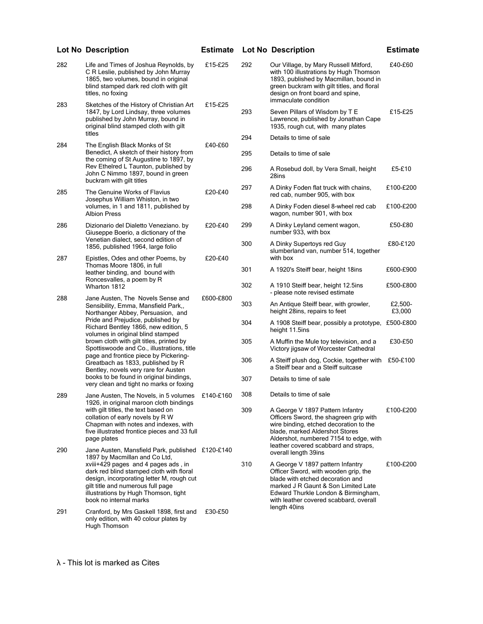|     | Lot No Description                                                                                                                                                                                                                                                                                                                                                                                                                              | <b>Estimate</b> |     | Lot No Description                                                                                                                                                                                                                  | <b>Estimate</b>   |
|-----|-------------------------------------------------------------------------------------------------------------------------------------------------------------------------------------------------------------------------------------------------------------------------------------------------------------------------------------------------------------------------------------------------------------------------------------------------|-----------------|-----|-------------------------------------------------------------------------------------------------------------------------------------------------------------------------------------------------------------------------------------|-------------------|
| 282 | Life and Times of Joshua Reynolds, by<br>C R Leslie, published by John Murray<br>1865, two volumes, bound in original<br>blind stamped dark red cloth with gilt<br>titles, no foxing                                                                                                                                                                                                                                                            | £15-£25         | 292 | Our Village, by Mary Russell Mitford,<br>with 100 illustrations by Hugh Thomson<br>1893, published by Macmillan, bound in<br>green buckram with gilt titles, and floral<br>design on front board and spine,<br>immaculate condition | £40-£60           |
| 283 | Sketches of the History of Christian Art<br>1847, by Lord Lindsay, three volumes<br>published by John Murray, bound in<br>original blind stamped cloth with gilt<br>titles                                                                                                                                                                                                                                                                      | £15-£25         | 293 | Seven Pillars of Wisdom by T E<br>Lawrence, published by Jonathan Cape<br>1935, rough cut, with many plates                                                                                                                         | £15-£25           |
| 284 | The English Black Monks of St                                                                                                                                                                                                                                                                                                                                                                                                                   | £40-£60         | 294 | Details to time of sale                                                                                                                                                                                                             |                   |
|     | Benedict, A sketch of their history from<br>the coming of St Augustine to 1897, by                                                                                                                                                                                                                                                                                                                                                              |                 | 295 | Details to time of sale                                                                                                                                                                                                             |                   |
|     | Rev Ethelred L Taunton, published by<br>John C Nimmo 1897, bound in green<br>buckram with gilt titles                                                                                                                                                                                                                                                                                                                                           |                 | 296 | A Rosebud doll, by Vera Small, height<br>28ins                                                                                                                                                                                      | £5-£10            |
| 285 | The Genuine Works of Flavius<br>Josephus William Whiston, in two                                                                                                                                                                                                                                                                                                                                                                                | £20-£40         | 297 | A Dinky Foden flat truck with chains,<br>red cab, number 905, with box                                                                                                                                                              | £100-£200         |
|     | volumes, in 1 and 1811, published by<br><b>Albion Press</b>                                                                                                                                                                                                                                                                                                                                                                                     |                 | 298 | A Dinky Foden diesel 8-wheel red cab<br>wagon, number 901, with box                                                                                                                                                                 | £100-£200         |
| 286 | Dizionario del Dialetto Veneziano. by<br>Giuseppe Boerio, a dictionary of the                                                                                                                                                                                                                                                                                                                                                                   | £20-£40         | 299 | A Dinky Leyland cement wagon,<br>number 933, with box                                                                                                                                                                               | £50-£80           |
| 287 | Venetian dialect, second edition of<br>1856, published 1964, large folio<br>Epistles, Odes and other Poems, by                                                                                                                                                                                                                                                                                                                                  | £20-£40         | 300 | A Dinky Supertoys red Guy<br>slumberland van, number 514, together<br>with box                                                                                                                                                      | £80-£120          |
|     | Thomas Moore 1806, in full<br>leather binding, and bound with<br>Roncesvalles, a poem by R<br>Wharton 1812                                                                                                                                                                                                                                                                                                                                      |                 | 301 | A 1920's Steiff bear, height 18ins                                                                                                                                                                                                  | £600-£900         |
|     |                                                                                                                                                                                                                                                                                                                                                                                                                                                 |                 | 302 | A 1910 Steiff bear, height 12.5ins<br>- please note revised estimate                                                                                                                                                                | £500-£800         |
| 288 | Jane Austen, The Novels Sense and<br>Sensibility, Emma, Mansfield Park,,<br>Northanger Abbey, Persuasion, and<br>Pride and Prejudice, published by<br>Richard Bentley 1866, new edition, 5<br>volumes in original blind stamped<br>brown cloth with gilt titles, printed by<br>Spottiswoode and Co., illustrations, title<br>page and frontice piece by Pickering-<br>Greatbach as 1833, published by R<br>Bentley, novels very rare for Austen | £600-£800       | 303 | An Antique Steiff bear, with growler,<br>height 28ins, repairs to feet                                                                                                                                                              | £2,500-<br>£3,000 |
|     |                                                                                                                                                                                                                                                                                                                                                                                                                                                 |                 | 304 | A 1908 Steiff bear, possibly a prototype, £500-£800<br>height 11.5ins                                                                                                                                                               |                   |
|     |                                                                                                                                                                                                                                                                                                                                                                                                                                                 |                 | 305 | A Muffin the Mule toy television, and a<br>Victory jigsaw of Worcester Cathedral                                                                                                                                                    | £30-£50           |
|     |                                                                                                                                                                                                                                                                                                                                                                                                                                                 |                 | 306 | A Steiff plush dog, Cockie, together with<br>a Steiff bear and a Steiff suitcase                                                                                                                                                    | £50-£100          |
|     | books to be found in original bindings,<br>very clean and tight no marks or foxing                                                                                                                                                                                                                                                                                                                                                              |                 | 307 | Details to time of sale                                                                                                                                                                                                             |                   |
| 289 | Jane Austen, The Novels, in 5 volumes<br>1926, in original maroon cloth bindings                                                                                                                                                                                                                                                                                                                                                                | £140-£160       | 308 | Details to time of sale                                                                                                                                                                                                             |                   |
|     | with gilt titles, the text based on<br>collation of early novels by R W<br>Chapman with notes and indexes, with<br>five illustrated frontice pieces and 33 full<br>page plates                                                                                                                                                                                                                                                                  |                 | 309 | A George V 1897 Pattern Infantry<br>Officers Sword, the shagreen grip with<br>wire binding, etched decoration to the<br>blade, marked Aldershot Stores<br>Aldershot, numbered 7154 to edge, with                                    | £100-£200         |
| 290 | Jane Austen, Mansfield Park, published £120-£140<br>1897 by Macmillan and Co Ltd.<br>xviii+429 pages and 4 pages ads, in<br>dark red blind stamped cloth with floral<br>design, incorporating letter M, rough cut<br>gilt title and numerous full page                                                                                                                                                                                          |                 | 310 | leather covered scabbard and straps,<br>overall length 39ins<br>A George V 1897 pattern Infantry<br>Officer Sword, with wooden grip, the<br>blade with etched decoration and<br>marked J R Gaunt & Son Limited Late                 | £100-£200         |
| 291 | illustrations by Hugh Thomson, tight<br>book no internal marks<br>Cranford, by Mrs Gaskell 1898, first and<br>only edition, with 40 colour plates by                                                                                                                                                                                                                                                                                            | £30-£50         |     | Edward Thurkle London & Birmingham,<br>with leather covered scabbard, overall<br>length 40ins                                                                                                                                       |                   |
|     | Hugh Thomson                                                                                                                                                                                                                                                                                                                                                                                                                                    |                 |     |                                                                                                                                                                                                                                     |                   |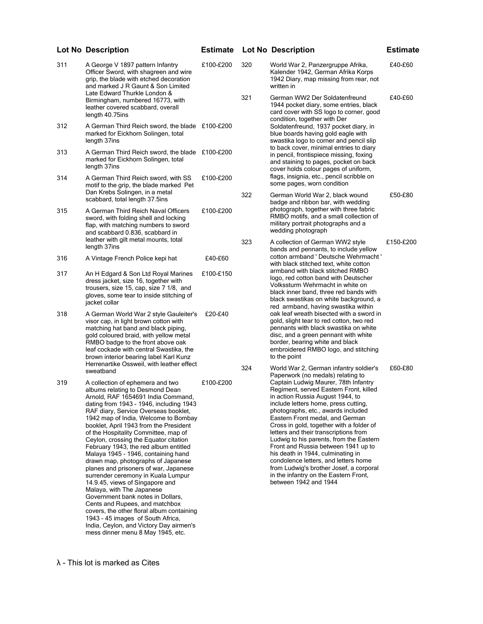| 311 | A George V 1897 pattern Infantry<br>Officer Sword, with shagreen and wire<br>grip, the blade with etched decoration<br>and marked J R Gaunt & Son Limited<br>Late Edward Thurkle London &                                                                                                                                                                                                                                                                                                                                                                                                                                                                                                                                                                                                                                                                                     | £100-£200 | 320 | World War 2, Panzergruppe Afrika,<br>Kalender 1942, German Afrika Korps<br>1942 Diary, map missing from rear, not<br>written in                                                                                                                                                                                                                                                                                                                                                                                                                              | £40-£60   |
|-----|-------------------------------------------------------------------------------------------------------------------------------------------------------------------------------------------------------------------------------------------------------------------------------------------------------------------------------------------------------------------------------------------------------------------------------------------------------------------------------------------------------------------------------------------------------------------------------------------------------------------------------------------------------------------------------------------------------------------------------------------------------------------------------------------------------------------------------------------------------------------------------|-----------|-----|--------------------------------------------------------------------------------------------------------------------------------------------------------------------------------------------------------------------------------------------------------------------------------------------------------------------------------------------------------------------------------------------------------------------------------------------------------------------------------------------------------------------------------------------------------------|-----------|
|     | Birmingham, numbered 16773, with<br>leather covered scabbard, overall<br>length 40.75ins                                                                                                                                                                                                                                                                                                                                                                                                                                                                                                                                                                                                                                                                                                                                                                                      |           | 321 | German WW2 Der Soldatenfreund<br>1944 pocket diary, some entries, black<br>card cover with SS logo to corner, good<br>condition, together with Der                                                                                                                                                                                                                                                                                                                                                                                                           | £40-£60   |
| 312 | A German Third Reich sword, the blade £100-£200<br>marked for Eickhorn Solingen, total<br>length 37ins                                                                                                                                                                                                                                                                                                                                                                                                                                                                                                                                                                                                                                                                                                                                                                        |           |     | Soldatenfreund, 1937 pocket diary, in<br>blue boards having gold eagle with<br>swastika logo to corner and pencil slip<br>to back cover, minimal entries to diary                                                                                                                                                                                                                                                                                                                                                                                            |           |
| 313 | A German Third Reich sword, the blade £100-£200<br>marked for Eickhorn Solingen, total<br>length 37ins                                                                                                                                                                                                                                                                                                                                                                                                                                                                                                                                                                                                                                                                                                                                                                        |           |     | in pencil, frontispiece missing, foxing<br>and staining to pages, pocket on back<br>cover holds colour pages of uniform,                                                                                                                                                                                                                                                                                                                                                                                                                                     |           |
| 314 | A German Third Reich sword, with SS<br>motif to the grip, the blade marked Pet<br>Dan Krebs Solingen, in a metal                                                                                                                                                                                                                                                                                                                                                                                                                                                                                                                                                                                                                                                                                                                                                              | £100-£200 | 322 | flags, insignia, etc., pencil scribble on<br>some pages, worn condition<br>German World War 2, black wound                                                                                                                                                                                                                                                                                                                                                                                                                                                   | £50-£80   |
| 315 | scabbard, total length 37.5ins<br>A German Third Reich Naval Officers<br>sword, with folding shell and locking<br>flap, with matching numbers to sword<br>and scabbard 0.836, scabbard in                                                                                                                                                                                                                                                                                                                                                                                                                                                                                                                                                                                                                                                                                     | £100-£200 |     | badge and ribbon bar, with wedding<br>photograph, together with three fabric<br>RMBO motifs, and a small collection of<br>military portrait photographs and a<br>wedding photograph                                                                                                                                                                                                                                                                                                                                                                          |           |
|     | leather with gilt metal mounts, total<br>length 37ins                                                                                                                                                                                                                                                                                                                                                                                                                                                                                                                                                                                                                                                                                                                                                                                                                         |           | 323 | A collection of German WW2 style<br>bands and pennants, to include yellow                                                                                                                                                                                                                                                                                                                                                                                                                                                                                    | £150-£200 |
| 316 | A Vintage French Police kepi hat                                                                                                                                                                                                                                                                                                                                                                                                                                                                                                                                                                                                                                                                                                                                                                                                                                              | £40-£60   |     | cotton armband ' Deutsche Wehrmacht '<br>with black stitched text, white cotton                                                                                                                                                                                                                                                                                                                                                                                                                                                                              |           |
| 317 | An H Edgard & Son Ltd Royal Marines<br>dress jacket, size 16, together with<br>trousers, size 15, cap, size 7 1/8, and<br>gloves, some tear to inside stitching of<br>jacket collar                                                                                                                                                                                                                                                                                                                                                                                                                                                                                                                                                                                                                                                                                           | £100-£150 |     | armband with black stitched RMBO<br>logo, red cotton band with Deutscher<br>Volkssturm Wehrmacht in white on<br>black inner band, three red bands with<br>black swastikas on white background, a<br>red armband, having swastika within<br>oak leaf wreath bisected with a sword in<br>gold, slight tear to red cotton, two red<br>pennants with black swastika on white<br>disc, and a green pennant with white<br>border, bearing white and black<br>embroidered RMBO logo, and stitching<br>to the point                                                  |           |
| 318 | A German World War 2 style Gauleiter's<br>visor cap, in light brown cotton with<br>matching hat band and black piping,<br>gold coloured braid, with yellow metal<br>RMBO badge to the front above oak<br>leaf cockade with central Swastika, the<br>brown interior bearing label Karl Kunz<br>Herrenartike Ossweil, with leather effect                                                                                                                                                                                                                                                                                                                                                                                                                                                                                                                                       | £20-£40   |     |                                                                                                                                                                                                                                                                                                                                                                                                                                                                                                                                                              |           |
|     | sweatband                                                                                                                                                                                                                                                                                                                                                                                                                                                                                                                                                                                                                                                                                                                                                                                                                                                                     |           | 324 | World War 2, German infantry soldier's<br>Paperwork (no medals) relating to<br>Captain Ludwig Maurer, 78th Infantry                                                                                                                                                                                                                                                                                                                                                                                                                                          | £60-£80   |
| 319 | A collection of ephemera and two<br>albums relating to Desmond Dean<br>Arnold, RAF 1654691 India Command,<br>dating from 1943 - 1946, including 1943<br>RAF diary, Service Overseas booklet,<br>1942 map of India, Welcome to Bombay<br>booklet, April 1943 from the President<br>of the Hospitality Committee, map of<br>Ceylon, crossing the Equator citation<br>February 1943, the red album entitled<br>Malaya 1945 - 1946, containing hand<br>drawn map, photographs of Japanese<br>planes and prisoners of war, Japanese<br>surrender ceremony in Kuala Lumpur<br>14.9.45, views of Singapore and<br>Malaya, with The Japanese<br>Government bank notes in Dollars,<br>Cents and Rupees, and matchbox<br>covers, the other floral album containing<br>1943 - 45 images of South Africa,<br>India, Ceylon, and Victory Day airmen's<br>mess dinner menu 8 May 1945, etc. | £100-£200 |     | Regiment, served Eastern Front, killed<br>in action Russia August 1944, to<br>include letters home, press cutting,<br>photographs, etc., awards included<br>Eastern Front medal, and German<br>Cross in gold, together with a folder of<br>letters and their transcriptions from<br>Ludwig to his parents, from the Eastern<br>Front and Russia between 1941 up to<br>his death in 1944, culminating in<br>condolence letters, and letters home<br>from Ludwig's brother Josef, a corporal<br>in the infantry on the Eastern Front,<br>between 1942 and 1944 |           |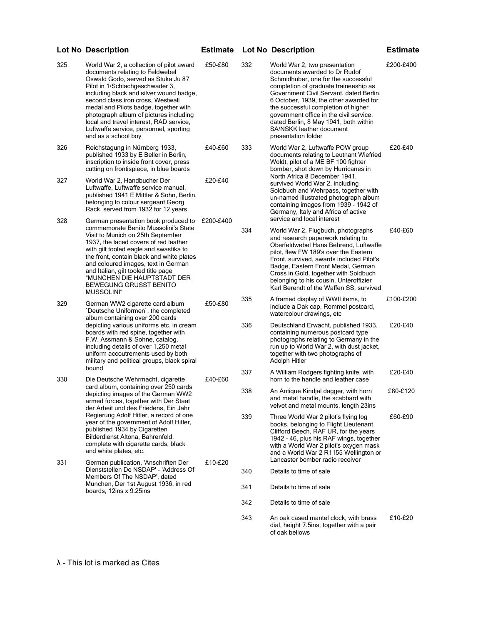| 325 | World War 2, a collection of pilot award<br>documents relating to Feldwebel<br>Oswald Godo, served as Stuka Ju 87<br>Pilot in 1/Schlachgeschwader 3,<br>including black and silver wound badge,<br>second class iron cross, Westwall<br>medal and Pilots badge, together with<br>photograph album of pictures including<br>local and travel interest, RAD service,<br>Luftwaffe service, personnel, sporting<br>and as a school boy | £50-£80   | 332 | World War 2, two presentation<br>documents awarded to Dr Rudof<br>Schmidhuber, one for the successful<br>completion of graduate traineeship as<br>Government Civil Servant, dated Berlin,<br>6 October, 1939, the other awarded for<br>the successful completion of higher<br>government office in the civil service,<br>dated Berlin, 8 May 1941, both within<br>SA/NSKK leather document<br>presentation folder | £200-£400 |
|-----|-------------------------------------------------------------------------------------------------------------------------------------------------------------------------------------------------------------------------------------------------------------------------------------------------------------------------------------------------------------------------------------------------------------------------------------|-----------|-----|-------------------------------------------------------------------------------------------------------------------------------------------------------------------------------------------------------------------------------------------------------------------------------------------------------------------------------------------------------------------------------------------------------------------|-----------|
| 326 | Reichstagung in Nürnberg 1933,<br>published 1933 by E Beller in Berlin,<br>inscription to inside front cover, press<br>cutting on frontispiece, in blue boards                                                                                                                                                                                                                                                                      | £40-£60   | 333 | World War 2, Luftwaffe POW group<br>documents relating to Leutnant Wiefried<br>Woldt, pilot of a ME BF 100 fighter<br>bomber, shot down by Hurricanes in                                                                                                                                                                                                                                                          | £20-£40   |
| 327 | World War 2, Handbucher Der<br>Luftwaffe, Luftwaffe service manual,<br>published 1941 E Mittler & Sohn, Berlin,<br>belonging to colour sergeant Georg<br>Rack, served from 1932 for 12 years                                                                                                                                                                                                                                        | £20-£40   |     | North Africa 8 December 1941,<br>survived World War 2, including<br>Soldbuch and Wehrpass, together with<br>un-named illustrated photograph album<br>containing images from 1939 - 1942 of<br>Germany, Italy and Africa of active                                                                                                                                                                                 |           |
| 328 | German presentation book produced to<br>commemorate Benito Mussolini's State<br>Visit to Munich on 25th September<br>1937, the laced covers of red leather<br>with gilt tooled eagle and swastika to<br>the front, contain black and white plates<br>and coloured images, text in German<br>and Italian, gilt tooled title page<br>"MUNCHEN DIE HAUPTSTADT DER<br>BEWEGUNG GRUSST BENITO<br><b>MUSSOLINI</b> "                      | £200-£400 | 334 | service and local interest<br>World War 2, Flugbuch, photographs<br>and research paperwork relating to<br>Oberfeldwebel Hans Behrend, Luftwaffe<br>pilot, flew FW 189's over the Eastern<br>Front, survived, awards included Pilot's<br>Badge, Eastern Front Medal, German<br>Cross in Gold, together with Soldbuch<br>belonging to his cousin, Unteroffizier<br>Karl Berendt of the Waffen SS, survived          | £40-£60   |
| 329 | German WW2 cigarette card album<br>'Deutsche Uniformen', the completed<br>album containing over 200 cards<br>depicting various uniforms etc, in cream<br>boards with red spine, together with<br>F.W. Assmann & Sohne, catalog,<br>including details of over 1,250 metal<br>uniform accoutrements used by both<br>military and political groups, black spiral                                                                       | £50-£80   | 335 | A framed display of WWII items, to<br>include a Dak cap, Rommel postcard,<br>watercolour drawings, etc.                                                                                                                                                                                                                                                                                                           | £100-£200 |
|     |                                                                                                                                                                                                                                                                                                                                                                                                                                     |           | 336 | Deutschland Erwacht, published 1933,<br>containing numerous postcard type<br>photographs relating to Germany in the<br>run up to World War 2, with dust jacket,<br>together with two photographs of<br>Adolph Hitler                                                                                                                                                                                              | £20-£40   |
| 330 | bound<br>Die Deutsche Wehrmacht, cigarette                                                                                                                                                                                                                                                                                                                                                                                          | £40-£60   | 337 | A William Rodgers fighting knife, with<br>horn to the handle and leather case                                                                                                                                                                                                                                                                                                                                     | £20-£40   |
|     | card album, containing over 250 cards<br>depicting images of the German WW2<br>armed forces, together with Der Staat<br>der Arbeit und des Friedens, Ein Jahr                                                                                                                                                                                                                                                                       |           | 338 | An Antique Kindjal dagger, with horn<br>and metal handle, the scabbard with<br>velvet and metal mounts, length 23ins                                                                                                                                                                                                                                                                                              | £80-£120  |
|     | Regierung Adolf Hitler, a record of one<br>year of the government of Adolf Hitler,<br>published 1934 by Cigaretten<br>Bilderdienst Altona, Bahrenfeld,<br>complete with cigarette cards, black<br>and white plates, etc.                                                                                                                                                                                                            |           | 339 | Three World War 2 pilot's flying log<br>books, belonging to Flight Lieutenant<br>Clifford Beech, RAF UR, for the years<br>1942 - 46, plus his RAF wings, together<br>with a World War 2 pilot's oxygen mask<br>and a World War 2 R1155 Wellington or                                                                                                                                                              | £60-£90   |
| 331 | German publication, 'Anschriften Der<br>Dienststellen De NSDAP' - 'Address Of                                                                                                                                                                                                                                                                                                                                                       | £10-£20   | 340 | Lancaster bomber radio receiver<br>Details to time of sale                                                                                                                                                                                                                                                                                                                                                        |           |
|     | Members Of The NSDAP', dated<br>Munchen, Der 1st August 1936, in red                                                                                                                                                                                                                                                                                                                                                                |           | 341 | Details to time of sale                                                                                                                                                                                                                                                                                                                                                                                           |           |
|     | boards, 12ins x 9.25ins                                                                                                                                                                                                                                                                                                                                                                                                             |           | 342 | Details to time of sale                                                                                                                                                                                                                                                                                                                                                                                           |           |
|     |                                                                                                                                                                                                                                                                                                                                                                                                                                     |           | 343 | An oak cased mantel clock, with brass<br>dial, height 7.5ins, together with a pair<br>of oak bellows                                                                                                                                                                                                                                                                                                              | £10-£20   |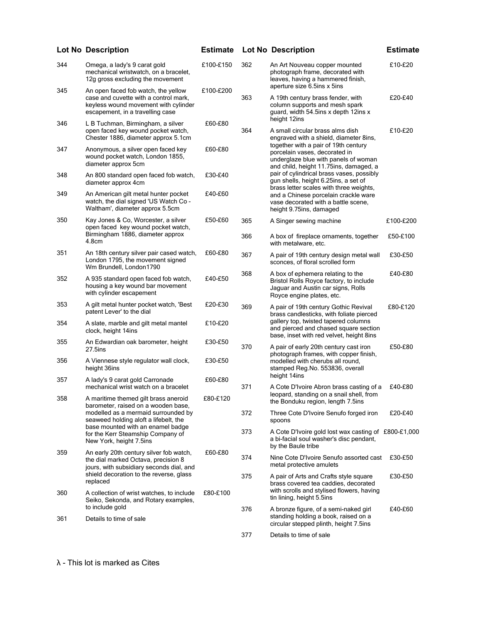|     | <b>Lot No Description</b>                                                                                                                                | <b>Estimate</b> |     | <b>Lot No Description</b>                                                                                                                               | <b>Estimate</b> |
|-----|----------------------------------------------------------------------------------------------------------------------------------------------------------|-----------------|-----|---------------------------------------------------------------------------------------------------------------------------------------------------------|-----------------|
| 344 | Omega, a lady's 9 carat gold<br>mechanical wristwatch, on a bracelet,<br>12g gross excluding the movement                                                | £100-£150       | 362 | An Art Nouveau copper mounted<br>photograph frame, decorated with<br>leaves, having a hammered finish,                                                  | £10-£20         |
| 345 | An open faced fob watch, the yellow<br>case and cuvette with a control mark,<br>keyless wound movement with cylinder<br>escapement, in a travelling case | £100-£200       | 363 | aperture size 6.5ins x 5ins<br>A 19th century brass fender, with<br>column supports and mesh spark<br>guard, width 54.5ins x depth 12ins x              | £20-£40         |
| 346 | L B Tuchman, Birmingham, a silver<br>open faced key wound pocket watch,<br>Chester 1886, diameter approx 5.1cm                                           | £60-£80         | 364 | height 12ins<br>A small circular brass alms dish<br>engraved with a shield, diameter 8ins,                                                              | £10-£20         |
| 347 | Anonymous, a silver open faced key<br>wound pocket watch, London 1855,<br>diameter approx 5cm                                                            | £60-£80         |     | together with a pair of 19th century<br>porcelain vases, decorated in<br>underglaze blue with panels of woman<br>and child, height 11.75ins, damaged, a |                 |
| 348 | An 800 standard open faced fob watch,<br>diameter approx 4cm                                                                                             | £30-£40         |     | pair of cylindrical brass vases, possibly<br>gun shells, height 6.25ins, a set of<br>brass letter scales with three weights,                            |                 |
| 349 | An American gilt metal hunter pocket<br>watch, the dial signed 'US Watch Co -<br>Waltham', diameter approx 5.5cm                                         | £40-£60         |     | and a Chinese porcelain crackle ware<br>vase decorated with a battle scene,<br>height 9.75ins, damaged                                                  |                 |
| 350 | Kay Jones & Co, Worcester, a silver<br>open faced key wound pocket watch,                                                                                | £50-£60         | 365 | A Singer sewing machine                                                                                                                                 | £100-£200       |
|     | Birmingham 1886, diameter approx<br>4.8cm                                                                                                                |                 | 366 | A box of fireplace ornaments, together<br>with metalware, etc.                                                                                          | £50-£100        |
| 351 | An 18th century silver pair cased watch,<br>London 1795, the movement signed<br>Wm Brundell, London1790                                                  | £60-£80         | 367 | A pair of 19th century design metal wall<br>sconces, of floral scrolled form                                                                            | £30-£50         |
| 352 | A 935 standard open faced fob watch,<br>housing a key wound bar movement<br>with cylinder escapement                                                     | £40-£50         | 368 | A box of ephemera relating to the<br>Bristol Rolls Royce factory, to include<br>Jaguar and Austin car signs, Rolls<br>Royce engine plates, etc.         | £40-£80         |
| 353 | A gilt metal hunter pocket watch, 'Best<br>patent Lever' to the dial                                                                                     | £20-£30         | 369 | A pair of 19th century Gothic Revival<br>brass candlesticks, with foliate pierced                                                                       | £80-£120        |
| 354 | A slate, marble and gilt metal mantel<br>clock, height 14ins                                                                                             | £10-£20         |     | gallery top, twisted tapered columns<br>and pierced and chased square section<br>base, inset with red velvet, height 8ins                               |                 |
| 355 | An Edwardian oak barometer, height<br>27.5ins                                                                                                            | £30-£50         | 370 | A pair of early 20th century cast iron<br>photograph frames, with copper finish,                                                                        | £50-£80         |
| 356 | A Viennese style regulator wall clock,<br>height 36ins                                                                                                   | £30-£50         |     | modelled with cherubs all round,<br>stamped Reg.No. 553836, overall<br>height 14ins                                                                     |                 |
| 357 | A lady's 9 carat gold Carronade<br>mechanical wrist watch on a bracelet                                                                                  | £60-£80         | 371 | A Cote D'Ivoire Abron brass casting of a                                                                                                                | £40-£80         |
| 358 | A maritime themed gilt brass aneroid<br>barometer, raised on a wooden base,                                                                              | £80-£120        |     | leopard, standing on a snail shell, from<br>the Bonduku region, length 7.5ins                                                                           |                 |
|     | modelled as a mermaid surrounded by<br>seaweed holding aloft a lifebelt, the                                                                             |                 | 372 | Three Cote D'Ivoire Senufo forged iron<br>spoons                                                                                                        | £20-£40         |
|     | base mounted with an enamel badge<br>for the Kerr Steamship Company of<br>New York, height 7.5ins                                                        |                 | 373 | A Cote D'Ivoire gold lost wax casting of £800-£1,000<br>a bi-facial soul washer's disc pendant,<br>by the Baule tribe                                   |                 |
| 359 | An early 20th century silver fob watch,<br>the dial marked Octava, precision 8<br>jours, with subsidiary seconds dial, and                               | £60-£80         | 374 | Nine Cote D'Ivoire Senufo assorted cast<br>metal protective amulets                                                                                     | £30-£50         |
|     | shield decoration to the reverse, glass<br>replaced                                                                                                      |                 | 375 | A pair of Arts and Crafts style square<br>brass covered tea caddies, decorated                                                                          | £30-£50         |
| 360 | A collection of wrist watches, to include<br>Seiko, Sekonda, and Rotary examples,<br>to include gold                                                     | £80-£100        |     | with scrolls and stylised flowers, having<br>tin lining, height 5.5ins                                                                                  |                 |
| 361 | Details to time of sale                                                                                                                                  |                 | 376 | A bronze figure, of a semi-naked girl<br>standing holding a book, raised on a<br>circular stepped plinth, height 7.5ins                                 | £40-£60         |
|     |                                                                                                                                                          |                 | 377 | Details to time of sale                                                                                                                                 |                 |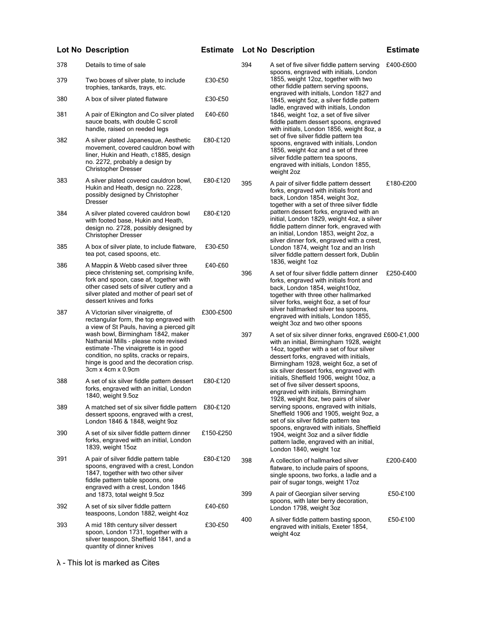| 378 | Details to time of sale                                                                                                                                                                                                                      |           | 394        | A set of five silver fiddle pattern serving<br>spoons, engraved with initials, London                                                                                                                                                                                        | £400-£600             |
|-----|----------------------------------------------------------------------------------------------------------------------------------------------------------------------------------------------------------------------------------------------|-----------|------------|------------------------------------------------------------------------------------------------------------------------------------------------------------------------------------------------------------------------------------------------------------------------------|-----------------------|
| 379 | Two boxes of silver plate, to include<br>trophies, tankards, trays, etc.                                                                                                                                                                     | £30-£50   |            | 1855, weight 12oz, together with two<br>other fiddle pattern serving spoons,<br>engraved with initials, London 1827 and                                                                                                                                                      |                       |
| 380 | A box of silver plated flatware                                                                                                                                                                                                              | £30-£50   |            | 1845, weight 5oz, a silver fiddle pattern<br>ladle, engraved with initials, London                                                                                                                                                                                           |                       |
| 381 | A pair of Elkington and Co silver plated<br>sauce boats, with double C scroll<br>handle, raised on reeded legs                                                                                                                               | £40-£60   |            | 1846, weight 1oz, a set of five silver<br>fiddle pattern dessert spoons, engraved<br>with initials, London 1856, weight 8oz, a                                                                                                                                               |                       |
| 382 | A silver plated Japanesque, Aesthetic<br>movement, covered cauldron bowl with<br>liner, Hukin and Heath, c1885, design<br>no. 2272, probably a design by<br><b>Christopher Dresser</b>                                                       | £80-£120  |            | set of five silver fiddle pattern tea<br>spoons, engraved with initials, London<br>1856, weight 4oz and a set of three<br>silver fiddle pattern tea spoons,<br>engraved with initials, London 1855,<br>weight 2oz                                                            |                       |
| 383 | A silver plated covered cauldron bowl,<br>Hukin and Heath, design no. 2228,<br>possibly designed by Christopher<br>Dresser                                                                                                                   | £80-£120  | 395        | A pair of silver fiddle pattern dessert<br>forks, engraved with initials front and<br>back, London 1854, weight 3oz,<br>together with a set of three silver fiddle                                                                                                           | £180-£200             |
| 384 | A silver plated covered cauldron bowl<br>with footed base, Hukin and Heath,<br>design no. 2728, possibly designed by<br><b>Christopher Dresser</b>                                                                                           | £80-£120  |            | pattern dessert forks, engraved with an<br>initial, London 1829, weight 4oz, a silver<br>fiddle pattern dinner fork, engraved with<br>an initial, London 1853, weight 2oz, a<br>silver dinner fork, engraved with a crest,                                                   |                       |
| 385 | A box of silver plate, to include flatware,<br>tea pot, cased spoons, etc.                                                                                                                                                                   | £30-£50   |            | London 1874, weight 1oz and an Irish<br>silver fiddle pattern dessert fork, Dublin                                                                                                                                                                                           |                       |
| 386 | A Mappin & Webb cased silver three<br>piece christening set, comprising knife,<br>fork and spoon, case af, together with<br>other cased sets of silver cutlery and a<br>silver plated and mother of pearl set of<br>dessert knives and forks | £40-£60   | 396        | 1836, weight 1oz<br>A set of four silver fiddle pattern dinner<br>forks, engraved with initials front and<br>back, London 1854, weight10oz,<br>together with three other hallmarked<br>silver forks, weight 6oz, a set of four                                               | £250-£400             |
| 387 | A Victorian silver vinaigrette, of<br>rectangular form, the top engraved with<br>a view of St Pauls, having a pierced gilt                                                                                                                   | £300-£500 |            | silver hallmarked silver tea spoons,<br>engraved with initials, London 1855,<br>weight 3oz and two other spoons                                                                                                                                                              |                       |
|     | wash bowl, Birmingham 1842, maker<br>Nathanial Mills - please note revised<br>estimate - The vinaigrette is in good<br>condition, no splits, cracks or repairs,<br>hinge is good and the decoration crisp.<br>3cm x 4cm x 0.9cm              |           | 397        | A set of six silver dinner forks, engraved £600-£1,000<br>with an initial, Birmingham 1928, weight<br>14oz, together with a set of four silver<br>dessert forks, engraved with initials,<br>Birmingham 1928, weight 6oz, a set of<br>six silver dessert forks, engraved with |                       |
| 388 | A set of six silver fiddle pattern dessert<br>forks, engraved with an initial, London<br>1840, weight 9.5oz                                                                                                                                  | £80-£120  |            | initials, Sheffield 1906, weight 10oz, a<br>set of five silver dessert spoons,<br>engraved with initials, Birmingham<br>1928, weight 8oz, two pairs of silver                                                                                                                |                       |
| 389 | A matched set of six silver fiddle pattern<br>dessert spoons, engraved with a crest,<br>London 1846 & 1848, weight 9oz                                                                                                                       | £80-£120  |            | serving spoons, engraved with initials,<br>Sheffield 1906 and 1905, weight 9oz, a<br>set of six silver fiddle pattern tea                                                                                                                                                    |                       |
| 390 | A set of six silver fiddle pattern dinner<br>forks, engraved with an initial, London<br>1839, weight 15oz                                                                                                                                    | £150-£250 |            | spoons, engraved with initials, Sheffield<br>1904, weight 3oz and a silver fiddle<br>pattern ladle, engraved with an initial,<br>London 1840, weight 1oz                                                                                                                     |                       |
| 391 | A pair of silver fiddle pattern table<br>spoons, engraved with a crest, London<br>1847, together with two other silver<br>fiddle pattern table spoons, one<br>engraved with a crest, London 1846<br>and 1873, total weight 9.5oz             | £80-£120  | 398<br>399 | A collection of hallmarked silver<br>flatware, to include pairs of spoons,<br>single spoons, two forks, a ladle and a<br>pair of sugar tongs, weight 17oz<br>A pair of Georgian silver serving                                                                               | £200-£400<br>£50-£100 |
| 392 | A set of six silver fiddle pattern<br>teaspoons, London 1882, weight 4oz                                                                                                                                                                     | £40-£60   |            | spoons, with later berry decoration,<br>London 1798, weight 3oz                                                                                                                                                                                                              |                       |
| 393 | A mid 18th century silver dessert<br>spoon, London 1731, together with a<br>silver teaspoon, Sheffield 1841, and a<br>quantity of dinner knives                                                                                              | £30-£50   | 400        | A silver fiddle pattern basting spoon,<br>engraved with initials, Exeter 1854,<br>weight 4oz                                                                                                                                                                                 | £50-£100              |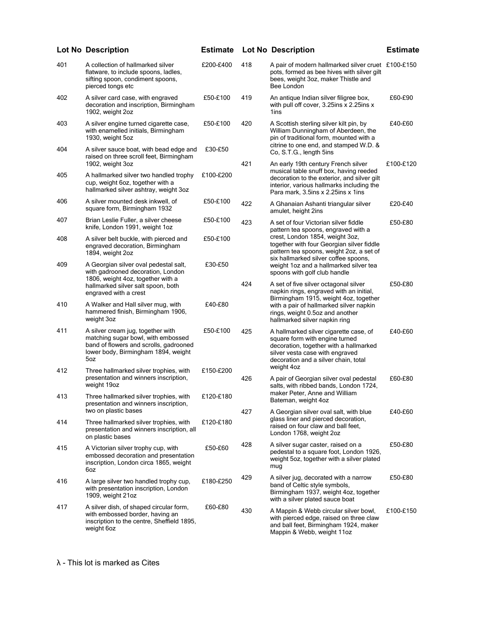|     | <b>Lot No Description</b>                                                                                                                                       | <b>Estimate</b> |     | <b>Lot No Description</b>                                                                                                                                                                     | <b>Estimate</b> |
|-----|-----------------------------------------------------------------------------------------------------------------------------------------------------------------|-----------------|-----|-----------------------------------------------------------------------------------------------------------------------------------------------------------------------------------------------|-----------------|
| 401 | A collection of hallmarked silver<br>flatware, to include spoons, ladles,<br>sifting spoon, condiment spoons,<br>pierced tongs etc                              | £200-£400       | 418 | A pair of modern hallmarked silver cruet £100-£150<br>pots, formed as bee hives with silver gilt<br>bees, weight 3oz, maker Thistle and<br>Bee London                                         |                 |
| 402 | A silver card case, with engraved<br>decoration and inscription, Birmingham<br>1902, weight 2oz                                                                 | £50-£100        | 419 | An antique Indian silver filigree box,<br>with pull off cover, 3.25ins x 2.25ins x<br>1ins                                                                                                    | £60-£90         |
| 403 | A silver engine turned cigarette case,<br>with enamelled initials, Birmingham<br>1930, weight 5oz                                                               | £50-£100        | 420 | A Scottish sterling silver kilt pin, by<br>William Dunningham of Aberdeen, the<br>pin of traditional form, mounted with a<br>citrine to one end, and stamped W.D. &                           | £40-£60         |
| 404 | A silver sauce boat, with bead edge and<br>raised on three scroll feet, Birmingham<br>1902, weight 3oz                                                          | £30-£50         | 421 | Co, S.T.G., length 5ins<br>An early 19th century French silver                                                                                                                                | £100-£120       |
| 405 | A hallmarked silver two handled trophy<br>cup, weight 6oz, together with a<br>hallmarked silver ashtray, weight 3oz                                             | £100-£200       |     | musical table snuff box, having reeded<br>decoration to the exterior, and silver gilt<br>interior, various hallmarks including the<br>Para mark, 3.5 ins x 2.25 ins x 1 ins                   |                 |
| 406 | A silver mounted desk inkwell, of<br>square form, Birmingham 1932                                                                                               | £50-£100        | 422 | A Ghanaian Ashanti triangular silver<br>amulet, height 2ins                                                                                                                                   | £20-£40         |
| 407 | Brian Leslie Fuller, a silver cheese<br>knife, London 1991, weight 1oz                                                                                          | £50-£100        | 423 | A set of four Victorian silver fiddle<br>pattern tea spoons, engraved with a                                                                                                                  | £50-£80         |
| 408 | A silver belt buckle, with pierced and<br>engraved decoration, Birmingham<br>1894, weight 2oz                                                                   | £50-£100        |     | crest, London 1854, weight 3oz,<br>together with four Georgian silver fiddle<br>pattern tea spoons, weight 2oz, a set of<br>six hallmarked silver coffee spoons,                              |                 |
| 409 | A Georgian silver oval pedestal salt,<br>with gadrooned decoration, London<br>1806, weight 4oz, together with a                                                 | £30-£50         |     | weight 1oz and a hallmarked silver tea<br>spoons with golf club handle                                                                                                                        |                 |
|     | hallmarked silver salt spoon, both<br>engraved with a crest                                                                                                     |                 | 424 | A set of five silver octagonal silver<br>napkin rings, engraved with an initial,<br>Birmingham 1915, weight 4oz, together                                                                     | £50-£80         |
| 410 | A Walker and Hall silver mug, with<br>hammered finish, Birmingham 1906,<br>weight 3oz                                                                           | £40-£80         |     | with a pair of hallmarked silver napkin<br>rings, weight 0.5oz and another<br>hallmarked silver napkin ring                                                                                   |                 |
| 411 | A silver cream jug, together with<br>matching sugar bowl, with embossed<br>band of flowers and scrolls, gadrooned<br>lower body, Birmingham 1894, weight<br>5oz | £50-£100        | 425 | A hallmarked silver cigarette case, of<br>square form with engine turned<br>decoration, together with a hallmarked<br>silver vesta case with engraved<br>decoration and a silver chain, total | £40-£60         |
| 412 | Three hallmarked silver trophies, with<br>presentation and winners inscription,<br>weight 19oz                                                                  | £150-£200       | 426 | weight 4oz<br>A pair of Georgian silver oval pedestal<br>salts, with ribbed bands, London 1724,                                                                                               | £60-£80         |
| 413 | Three hallmarked silver trophies, with<br>presentation and winners inscription,                                                                                 | £120-£180       |     | maker Peter, Anne and William<br>Bateman, weight 4oz                                                                                                                                          |                 |
| 414 | two on plastic bases<br>Three hallmarked silver trophies, with<br>presentation and winners inscription, all<br>on plastic bases                                 | £120-£180       | 427 | A Georgian silver oval salt, with blue<br>glass liner and pierced decoration.<br>raised on four claw and ball feet,<br>London 1768, weight 2oz                                                | £40-£60         |
| 415 | A Victorian silver trophy cup, with<br>embossed decoration and presentation<br>inscription, London circa 1865, weight<br>6oz                                    | £50-£60         | 428 | A silver sugar caster, raised on a<br>pedestal to a square foot, London 1926,<br>weight 5oz, together with a silver plated<br>mug                                                             | £50-£80         |
| 416 | A large silver two handled trophy cup,<br>with presentation inscription, London<br>1909, weight 21oz                                                            | £180-£250       | 429 | A silver jug, decorated with a narrow<br>band of Celtic style symbols,<br>Birmingham 1937, weight 4oz, together<br>with a silver plated sauce boat                                            | £50-£80         |
| 417 | A silver dish, of shaped circular form,<br>with embossed border, having an<br>inscription to the centre, Sheffield 1895,<br>weight 6oz                          | £60-£80         | 430 | A Mappin & Webb circular silver bowl,<br>with pierced edge, raised on three claw<br>and ball feet, Birmingham 1924, maker<br>Mappin & Webb, weight 11oz                                       | £100-£150       |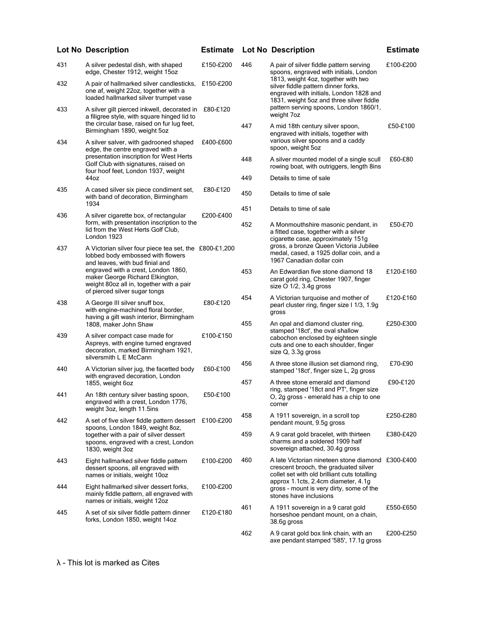|     | <b>Lot No Description</b>                                                                                                                           | <b>Estimate</b> |     | <b>Lot No Description</b>                                                                                                                                         | <b>Estimate</b> |
|-----|-----------------------------------------------------------------------------------------------------------------------------------------------------|-----------------|-----|-------------------------------------------------------------------------------------------------------------------------------------------------------------------|-----------------|
| 431 | A silver pedestal dish, with shaped<br>edge, Chester 1912, weight 15oz                                                                              | £150-£200       | 446 | A pair of silver fiddle pattern serving<br>spoons, engraved with initials, London                                                                                 | £100-£200       |
| 432 | A pair of hallmarked silver candlesticks,<br>one af, weight 22oz, together with a<br>loaded hallmarked silver trumpet vase                          | £150-£200       |     | 1813, weight 4oz, together with two<br>silver fiddle pattern dinner forks,<br>engraved with initials, London 1828 and<br>1831, weight 5oz and three silver fiddle |                 |
| 433 | A silver gilt pierced inkwell, decorated in<br>a filigree style, with square hinged lid to                                                          | £80-£120        |     | pattern serving spoons, London 1860/1,<br>weight 7oz                                                                                                              |                 |
| 434 | the circular base, raised on fur lug feet,<br>Birmingham 1890, weight 5oz<br>A silver salver, with gadrooned shaped                                 | £400-£600       | 447 | A mid 18th century silver spoon,<br>engraved with initials, together with<br>various silver spoons and a caddy                                                    | £50-£100        |
|     | edge, the centre engraved with a<br>presentation inscription for West Herts<br>Golf Club with signatures, raised on                                 |                 | 448 | spoon, weight 5oz<br>A silver mounted model of a single scull<br>rowing boat, with outriggers, length 8ins                                                        | £60-£80         |
|     | four hoof feet, London 1937, weight<br>44oz                                                                                                         |                 | 449 | Details to time of sale                                                                                                                                           |                 |
| 435 | A cased silver six piece condiment set,<br>with band of decoration, Birmingham                                                                      | £80-£120        | 450 | Details to time of sale                                                                                                                                           |                 |
| 436 | 1934<br>A silver cigarette box, of rectangular                                                                                                      | £200-£400       | 451 | Details to time of sale                                                                                                                                           |                 |
|     | form, with presentation inscription to the<br>lid from the West Herts Golf Club,<br>London 1923                                                     |                 | 452 | A Monmouthshire masonic pendant, in<br>a fitted case, together with a silver<br>cigarette case, approximately 151g                                                | £50-£70         |
| 437 | A Victorian silver four piece tea set, the £800-£1,200<br>lobbed body embossed with flowers<br>and leaves, with bud finial and                      |                 |     | gross, a bronze Queen Victoria Jubilee<br>medal, cased, a 1925 dollar coin, and a<br>1967 Canadian dollar coin                                                    |                 |
|     | engraved with a crest, London 1860,<br>maker George Richard Elkington,<br>weight 80oz all in, together with a pair<br>of pierced silver sugar tongs |                 | 453 | An Edwardian five stone diamond 18<br>carat gold ring, Chester 1907, finger<br>size $O$ 1/2, 3.4g gross                                                           | £120-£160       |
| 438 | A George III silver snuff box,<br>with engine-machined floral border,<br>having a gilt wash interior, Birmingham                                    | £80-£120        | 454 | A Victorian turquoise and mother of<br>pearl cluster ring, finger size 1 1/3, 1.9g<br>gross                                                                       | £120-£160       |
|     | 1808, maker John Shaw                                                                                                                               |                 | 455 | An opal and diamond cluster ring,<br>stamped '18ct', the oval shallow                                                                                             | £250-£300       |
| 439 | A silver compact case made for<br>Aspreys, with engine turned engraved<br>decoration, marked Birmingham 1921,<br>silversmith L E McCann             | £100-£150       |     | cabochon enclosed by eighteen single<br>cuts and one to each shoulder, finger<br>size Q, 3.3g gross                                                               |                 |
| 440 | A Victorian silver jug, the facetted body<br>with engraved decoration, London                                                                       | £60-£100        | 456 | A three stone illusion set diamond ring,<br>stamped '18ct', finger size L, 2g gross                                                                               | £70-£90         |
|     | 1855, weight 6oz                                                                                                                                    |                 | 457 | A three stone emerald and diamond<br>ring, stamped '18ct and PT', finger size                                                                                     | £90-£120        |
| 441 | An 18th century silver basting spoon,<br>engraved with a crest, London 1776,<br>weight 3oz, length 11.5ins                                          | £50-£100        |     | O, 2g gross - emerald has a chip to one<br>corner                                                                                                                 |                 |
| 442 | A set of five silver fiddle pattern dessert £100-£200<br>spoons, London 1849, weight 8oz,                                                           |                 | 458 | A 1911 sovereign, in a scroll top<br>pendant mount, 9.5g gross                                                                                                    | £250-£280       |
|     | together with a pair of silver dessert<br>spoons, engraved with a crest, London<br>1830, weight 3oz                                                 |                 | 459 | A 9 carat gold bracelet, with thirteen<br>charms and a soldered 1909 half<br>sovereign attached, 30.4g gross                                                      | £380-£420       |
| 443 | Eight hallmarked silver fiddle pattern<br>dessert spoons, all engraved with<br>names or initials, weight 10oz                                       | £100-£200       | 460 | A late Victorian nineteen stone diamond £300-£400<br>crescent brooch, the graduated silver<br>collet set with old brilliant cuts totalling                        |                 |
| 444 | Eight hallmarked silver dessert forks,<br>mainly fiddle pattern, all engraved with<br>names or initials, weight 12oz                                | £100-£200       |     | approx 1.1cts, 2.4cm diameter, 4.1g<br>gross - mount is very dirty, some of the<br>stones have inclusions                                                         |                 |
| 445 | A set of six silver fiddle pattern dinner<br>forks, London 1850, weight 14oz                                                                        | £120-£180       | 461 | A 1911 sovereign in a 9 carat gold<br>horseshoe pendant mount, on a chain,<br>38.6g gross                                                                         | £550-£650       |
|     |                                                                                                                                                     |                 | 462 | A 9 carat gold box link chain, with an<br>axe pendant stamped '585', 17.1g gross                                                                                  | £200-£250       |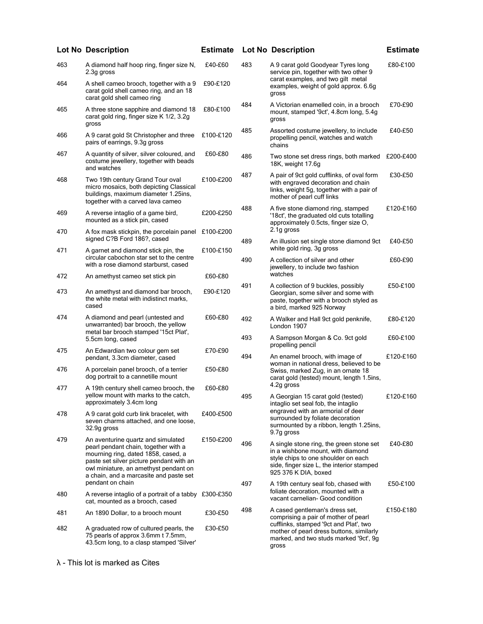|     | <b>Lot No Description</b>                                                                                                                                                                                                                        | <b>Estimate</b> |     | <b>Lot No Description</b>                                                                                                                                                                 | <b>Estimate</b> |
|-----|--------------------------------------------------------------------------------------------------------------------------------------------------------------------------------------------------------------------------------------------------|-----------------|-----|-------------------------------------------------------------------------------------------------------------------------------------------------------------------------------------------|-----------------|
| 463 | A diamond half hoop ring, finger size N,<br>2.3g gross                                                                                                                                                                                           | £40-£60         | 483 | A 9 carat gold Goodyear Tyres long<br>service pin, together with two other 9                                                                                                              | £80-£100        |
| 464 | A shell cameo brooch, together with a 9<br>carat gold shell cameo ring, and an 18<br>carat gold shell cameo ring                                                                                                                                 | £90-£120        |     | carat examples, and two gilt metal<br>examples, weight of gold approx. 6.6g<br>gross                                                                                                      |                 |
| 465 | A three stone sapphire and diamond 18<br>carat gold ring, finger size K 1/2, 3.2g<br>gross                                                                                                                                                       | £80-£100        | 484 | A Victorian enamelled coin, in a brooch<br>mount, stamped '9ct', 4.8cm long, 5.4g<br>gross                                                                                                | £70-£90         |
| 466 | A 9 carat gold St Christopher and three<br>pairs of earrings, 9.3g gross                                                                                                                                                                         | £100-£120       | 485 | Assorted costume jewellery, to include<br>propelling pencil, watches and watch<br>chains                                                                                                  | £40-£50         |
| 467 | A quantity of silver, silver coloured, and<br>costume jewellery, together with beads<br>and watches                                                                                                                                              | £60-£80         | 486 | Two stone set dress rings, both marked<br>18K, weight 17.6g                                                                                                                               | £200-£400       |
| 468 | Two 19th century Grand Tour oval<br>micro mosaics, both depicting Classical<br>buildings, maximum diameter 1.25ins,<br>together with a carved lava cameo                                                                                         | £100-£200       | 487 | A pair of 9ct gold cufflinks, of oval form<br>with engraved decoration and chain<br>links, weight 5g, together with a pair of<br>mother of pearl cuff links                               | £30-£50         |
| 469 | A reverse intaglio of a game bird,<br>mounted as a stick pin, cased                                                                                                                                                                              | £200-£250       | 488 | A five stone diamond ring, stamped<br>'18ct', the graduated old cuts totalling<br>approximately 0.5cts, finger size O,                                                                    | £120-£160       |
| 470 | A fox mask stickpin, the porcelain panel<br>signed C?B Ford 186?, cased                                                                                                                                                                          | £100-£200       | 489 | 2.1g gross<br>An illusion set single stone diamond 9ct                                                                                                                                    | £40-£50         |
| 471 | A garnet and diamond stick pin, the                                                                                                                                                                                                              | £100-£150       |     | white gold ring, 3g gross                                                                                                                                                                 |                 |
| 472 | circular cabochon star set to the centre<br>with a rose diamond starburst, cased<br>An amethyst cameo set stick pin                                                                                                                              | £60-£80         | 490 | A collection of silver and other<br>jewellery, to include two fashion<br>watches                                                                                                          | £60-£90         |
|     |                                                                                                                                                                                                                                                  |                 | 491 | A collection of 9 buckles, possibly                                                                                                                                                       | £50-£100        |
| 473 | An amethyst and diamond bar brooch,<br>the white metal with indistinct marks,<br>cased                                                                                                                                                           | £90-£120        |     | Georgian, some silver and some with<br>paste, together with a brooch styled as<br>a bird, marked 925 Norway                                                                               |                 |
| 474 | A diamond and pearl (untested and<br>unwarranted) bar brooch, the yellow<br>metal bar brooch stamped '15ct Plat',                                                                                                                                | £60-£80         | 492 | A Walker and Hall 9ct gold penknife,<br>London 1907                                                                                                                                       | £80-£120        |
|     | 5.5cm long, cased                                                                                                                                                                                                                                |                 | 493 | A Sampson Morgan & Co. 9ct gold<br>propelling pencil                                                                                                                                      | £60-£100        |
| 475 | An Edwardian two colour gem set<br>pendant, 3.3cm diameter, cased                                                                                                                                                                                | £70-£90         | 494 | An enamel brooch, with image of                                                                                                                                                           | £120-£160       |
| 476 | A porcelain panel brooch, of a terrier<br>dog portrait to a cannetille mount                                                                                                                                                                     | £50-£80         |     | woman in national dress, believed to be<br>Swiss, marked Zug, in an ornate 18<br>carat gold (tested) mount, length 1.5ins,                                                                |                 |
| 477 | A 19th century shell cameo brooch, the<br>yellow mount with marks to the catch,                                                                                                                                                                  | £60-£80         | 495 | 4.2g gross<br>A Georgian 15 carat gold (tested)                                                                                                                                           | £120-£160       |
|     | approximately 3.4cm long                                                                                                                                                                                                                         |                 |     | intaglio set seal fob, the intaglio<br>engraved with an armorial of deer                                                                                                                  |                 |
| 478 | A 9 carat gold curb link bracelet, with<br>seven charms attached, and one loose,<br>32.9g gross                                                                                                                                                  | £400-£500       |     | surrounded by foliate decoration<br>surmounted by a ribbon, length 1.25ins,<br>9.7g gross                                                                                                 |                 |
| 479 | An aventurine quartz and simulated<br>pearl pendant chain, together with a<br>mourning ring, dated 1858, cased, a<br>paste set silver picture pendant with an<br>owl miniature, an amethyst pendant on<br>a chain, and a marcasite and paste set | £150-£200       | 496 | A single stone ring, the green stone set<br>in a wishbone mount, with diamond<br>style chips to one shoulder on each<br>side, finger size L, the interior stamped<br>925 376 K DIA, boxed | £40-£80         |
|     | pendant on chain                                                                                                                                                                                                                                 |                 | 497 | A 19th century seal fob, chased with<br>foliate decoration, mounted with a                                                                                                                | £50-£100        |
| 480 | A reverse intaglio of a portrait of a tabby £300-£350<br>cat, mounted as a brooch, cased                                                                                                                                                         |                 |     | vacant carnelian- Good condition                                                                                                                                                          |                 |
| 481 | An 1890 Dollar, to a brooch mount                                                                                                                                                                                                                | £30-£50         | 498 | A cased gentleman's dress set,<br>comprising a pair of mother of pearl                                                                                                                    | £150-£180       |
| 482 | A graduated row of cultured pearls, the<br>75 pearls of approx 3.6mm t 7.5mm,<br>43.5cm long, to a clasp stamped 'Silver'                                                                                                                        | £30-£50         |     | cufflinks, stamped '9ct and Plat', two<br>mother of pearl dress buttons, similarly<br>marked, and two studs marked '9ct', 9g<br>gross                                                     |                 |
|     |                                                                                                                                                                                                                                                  |                 |     |                                                                                                                                                                                           |                 |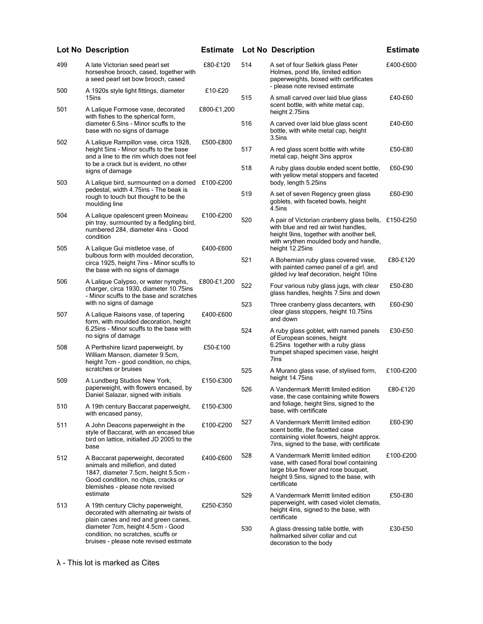|     | <b>Lot No Description</b>                                                                                                                                                                            | <b>Estimate</b> |     | <b>Lot No Description</b>                                                                                                                                                         | <b>Estimate</b> |
|-----|------------------------------------------------------------------------------------------------------------------------------------------------------------------------------------------------------|-----------------|-----|-----------------------------------------------------------------------------------------------------------------------------------------------------------------------------------|-----------------|
| 499 | A late Victorian seed pearl set<br>horseshoe brooch, cased, together with<br>a seed pearl set bow brooch, cased                                                                                      | £80-£120        | 514 | A set of four Selkirk glass Peter<br>Holmes, pond life, limited edition<br>paperweights, boxed with certificates                                                                  | £400-£600       |
| 500 | A 1920s style light fittings, diameter                                                                                                                                                               | £10-£20         |     | - please note revised estimate                                                                                                                                                    |                 |
| 501 | 15ins<br>A Lalique Formose vase, decorated<br>with fishes to the spherical form,                                                                                                                     | £800-£1,200     | 515 | A small carved over laid blue glass<br>scent bottle, with white metal cap,<br>height 2.75ins                                                                                      | £40-£60         |
|     | diameter 6.5ins - Minor scuffs to the<br>base with no signs of damage                                                                                                                                |                 | 516 | A carved over laid blue glass scent<br>bottle, with white metal cap, height                                                                                                       | £40-£60         |
| 502 | A Lalique Rampillon vase, circa 1928,<br>height 5ins - Minor scuffs to the base<br>and a line to the rim which does not feel                                                                         | £500-£800       | 517 | 3.5ins<br>A red glass scent bottle with white<br>metal cap, height 3ins approx                                                                                                    | £50-£80         |
|     | to be a crack but is evident, no other<br>signs of damage                                                                                                                                            |                 | 518 | A ruby glass double ended scent bottle,<br>with yellow metal stoppers and faceted                                                                                                 | £60-£90         |
| 503 | A Lalique bird, surmounted on a domed<br>pedestal, width 4.75ins - The beak is                                                                                                                       | £100-£200       |     | body, length 5.25ins                                                                                                                                                              |                 |
|     | rough to touch but thought to be the<br>moulding line                                                                                                                                                |                 | 519 | A set of seven Regency green glass<br>goblets, with faceted bowls, height<br>4.5ins                                                                                               | £60-£90         |
| 504 | A Lalique opalescent green Moineau<br>pin tray, surmounted by a fledgling bird,<br>numbered 284, diameter 4ins - Good<br>condition                                                                   | £100-£200       | 520 | A pair of Victorian cranberry glass bells, £150-£250<br>with blue and red air twist handles,<br>height 9ins, together with another bell,<br>with wrythen moulded body and handle, |                 |
| 505 | A Lalique Gui mistletoe vase, of<br>bulbous form with moulded decoration,<br>circa 1925, height 7ins - Minor scuffs to<br>the base with no signs of damage                                           | £400-£600       | 521 | height 12.25ins<br>A Bohemian ruby glass covered vase,<br>with painted cameo panel of a girl, and<br>gilded ivy leaf decoration, height 10ins                                     | £80-£120        |
| 506 | A Lalique Calypso, or water nymphs,<br>charger, circa 1930, diameter 10.75ins<br>- Minor scuffs to the base and scratches                                                                            | £800-£1,200     | 522 | Four various ruby glass jugs, with clear<br>glass handles, heights 7.5ins and down                                                                                                | £50-£80         |
| 507 | with no signs of damage<br>A Lalique Raisons vase, of tapering<br>form, with moulded decoration, height                                                                                              | £400-£600       | 523 | Three cranberry glass decanters, with<br>clear glass stoppers, height 10.75ins<br>and down                                                                                        | £60-£90         |
|     | 6.25ins - Minor scuffs to the base with<br>no signs of damage                                                                                                                                        |                 | 524 | A ruby glass goblet, with named panels<br>of European scenes, height                                                                                                              | £30-£50         |
| 508 | A Perthshire lizard paperweight, by<br>William Manson, diameter 9.5cm,<br>height 7cm - good condition, no chips,                                                                                     | £50-£100        |     | 6.25ins together with a ruby glass<br>trumpet shaped specimen vase, height<br>7ins                                                                                                |                 |
| 509 | scratches or bruises                                                                                                                                                                                 |                 | 525 | A Murano glass vase, of stylised form,<br>height 14.75ins                                                                                                                         | £100-£200       |
|     | A Lundberg Studios New York,<br>paperweight, with flowers encased, by<br>Daniel Salazar, signed with initials                                                                                        | £150-£300       | 526 | A Vandermark Merritt limited edition<br>vase, the case containing white flowers                                                                                                   | £80-£120        |
| 510 | A 19th century Baccarat paperweight,<br>with encased pansy,                                                                                                                                          | £150-£300       |     | and foliage, height 9ins, signed to the<br>base, with certificate                                                                                                                 |                 |
| 511 | A John Deacons paperweight in the<br>style of Baccarat, with an encased blue<br>bird on lattice, initialled JD 2005 to the<br>base                                                                   | £100-£200       | 527 | A Vandermark Merritt limited edition<br>scent bottle, the facetted case<br>containing violet flowers, height approx.<br>7ins, signed to the base, with certificate                | £60-£90         |
| 512 | A Baccarat paperweight, decorated<br>animals and millefiori, and dated<br>1847, diameter 7.5cm, height 5.5cm -<br>Good condition, no chips, cracks or<br>blemishes - please note revised<br>estimate | £400-£600       | 528 | A Vandermark Merritt limited edition<br>vase, with cased floral bowl containing<br>large blue flower and rose bouquet,<br>height 9.5ins, signed to the base, with<br>certificate  | £100-£200       |
| 513 | A 19th century Clichy paperweight,<br>decorated with alternating air twists of<br>plain canes and red and green canes,                                                                               | £250-£350       | 529 | A Vandermark Merritt limited edition<br>paperweight, with cased violet clematis,<br>height 4ins, signed to the base, with<br>certificate                                          | £50-£80         |
|     | diameter 7cm, height 4.5cm - Good<br>condition, no scratches, scuffs or<br>bruises - please note revised estimate                                                                                    |                 | 530 | A glass dressing table bottle, with<br>hallmarked silver collar and cut<br>decoration to the body                                                                                 | £30-£50         |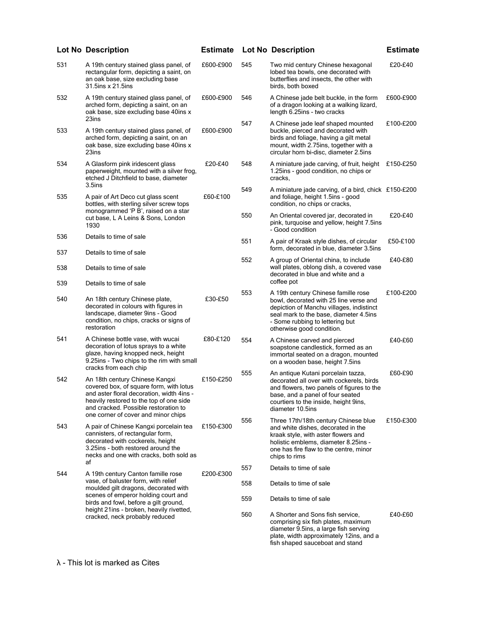|            | <b>Lot No Description</b>                                                                                                                                                                                                                        | <b>Estimate</b> |     | <b>Lot No Description</b>                                                                                                                                                                                                           | <b>Estimate</b> |
|------------|--------------------------------------------------------------------------------------------------------------------------------------------------------------------------------------------------------------------------------------------------|-----------------|-----|-------------------------------------------------------------------------------------------------------------------------------------------------------------------------------------------------------------------------------------|-----------------|
| 531        | A 19th century stained glass panel, of<br>rectangular form, depicting a saint, on<br>an oak base, size excluding base<br>31.5ins x 21.5ins                                                                                                       | £600-£900       | 545 | Two mid century Chinese hexagonal<br>lobed tea bowls, one decorated with<br>butterflies and insects, the other with<br>birds, both boxed                                                                                            | £20-£40         |
| 532        | A 19th century stained glass panel, of<br>arched form, depicting a saint, on an<br>oak base, size excluding base 40ins x                                                                                                                         | £600-£900       | 546 | A Chinese jade belt buckle, in the form<br>of a dragon looking at a walking lizard,<br>length 6.25ins - two cracks                                                                                                                  | £600-£900       |
| 533        | 23ins<br>A 19th century stained glass panel, of<br>arched form, depicting a saint, on an<br>oak base, size excluding base 40ins x<br>23ins                                                                                                       | £600-£900       | 547 | A Chinese jade leaf shaped mounted<br>buckle, pierced and decorated with<br>birds and foliage, having a gilt metal<br>mount, width 2.75ins, together with a<br>circular horn bi-disc, diameter 2.5ins                               | £100-£200       |
| 534        | A Glasform pink iridescent glass<br>paperweight, mounted with a silver frog,<br>etched J Ditchfield to base, diameter<br>$3.5$ ins                                                                                                               | £20-£40         | 548 | A miniature jade carving, of fruit, height<br>1.25ins - good condition, no chips or<br>cracks,                                                                                                                                      | £150-£250       |
| 535        | A pair of Art Deco cut glass scent<br>bottles, with sterling silver screw tops                                                                                                                                                                   | £60-£100        | 549 | A miniature jade carving, of a bird, chick £150-£200<br>and foliage, height 1.5ins - good<br>condition, no chips or cracks,                                                                                                         |                 |
|            | monogrammed 'P B', raised on a star<br>cut base, L A Leins & Sons, London<br>1930                                                                                                                                                                |                 | 550 | An Oriental covered jar, decorated in<br>pink, turquoise and yellow, height 7.5ins<br>- Good condition                                                                                                                              | £20-£40         |
| 536        | Details to time of sale                                                                                                                                                                                                                          |                 | 551 | A pair of Kraak style dishes, of circular<br>form, decorated in blue, diameter 3.5ins                                                                                                                                               | £50-£100        |
| 537        | Details to time of sale                                                                                                                                                                                                                          |                 | 552 | A group of Oriental china, to include                                                                                                                                                                                               | £40-£80         |
| 538<br>539 | Details to time of sale<br>Details to time of sale                                                                                                                                                                                               |                 |     | wall plates, oblong dish, a covered vase<br>decorated in blue and white and a<br>coffee pot                                                                                                                                         |                 |
| 540        | An 18th century Chinese plate,<br>decorated in colours with figures in<br>landscape, diameter 9ins - Good<br>condition, no chips, cracks or signs of<br>restoration                                                                              | £30-£50         | 553 | A 19th century Chinese famille rose<br>bowl, decorated with 25 line verse and<br>depiction of Manchu villages, indistinct<br>seal mark to the base, diameter 4.5ins<br>- Some rubbing to lettering but<br>otherwise good condition. | £100-£200       |
| 541        | A Chinese bottle vase, with wucai<br>decoration of lotus sprays to a white<br>glaze, having knopped neck, height<br>9.25ins - Two chips to the rim with small<br>cracks from each chip                                                           | £80-£120        | 554 | A Chinese carved and pierced<br>soapstone candlestick, formed as an<br>immortal seated on a dragon, mounted<br>on a wooden base, height 7.5ins                                                                                      | £40-£60         |
| 542        | An 18th century Chinese Kangxi<br>covered box, of square form, with lotus<br>and aster floral decoration, width 4ins -<br>heavily restored to the top of one side<br>and cracked. Possible restoration to<br>one corner of cover and minor chips | £150-£250       | 555 | An antique Kutani porcelain tazza,<br>decorated all over with cockerels, birds<br>and flowers, two panels of figures to the<br>base, and a panel of four seated<br>courtiers to the inside, height 9ins,<br>diameter 10.5ins        | £60-£90         |
| 543        | A pair of Chinese Kangxi porcelain tea<br>cannisters, of rectangular form,<br>decorated with cockerels, height<br>3.25ins - both restored around the<br>necks and one with cracks, both sold as<br>af                                            | £150-£300       | 556 | Three 17th/18th century Chinese blue<br>and white dishes, decorated in the<br>kraak style, with aster flowers and<br>holistic emblems, diameter 8.25ins -<br>one has fire flaw to the centre, minor<br>chips to rims                | £150-£300       |
| 544        | A 19th century Canton famille rose                                                                                                                                                                                                               | £200-£300       | 557 | Details to time of sale                                                                                                                                                                                                             |                 |
|            | vase, of baluster form, with relief<br>moulded gilt dragons, decorated with                                                                                                                                                                      |                 | 558 | Details to time of sale                                                                                                                                                                                                             |                 |
|            | scenes of emperor holding court and<br>birds and fowl, before a gilt ground,<br>height 21ins - broken, heavily rivetted,                                                                                                                         |                 | 559 | Details to time of sale                                                                                                                                                                                                             |                 |
|            | cracked, neck probably reduced                                                                                                                                                                                                                   |                 | 560 | A Shorter and Sons fish service,<br>comprising six fish plates, maximum<br>diameter 9.5ins, a large fish serving<br>plate, width approximately 12ins, and a<br>fish shaped sauceboat and stand                                      | £40-£60         |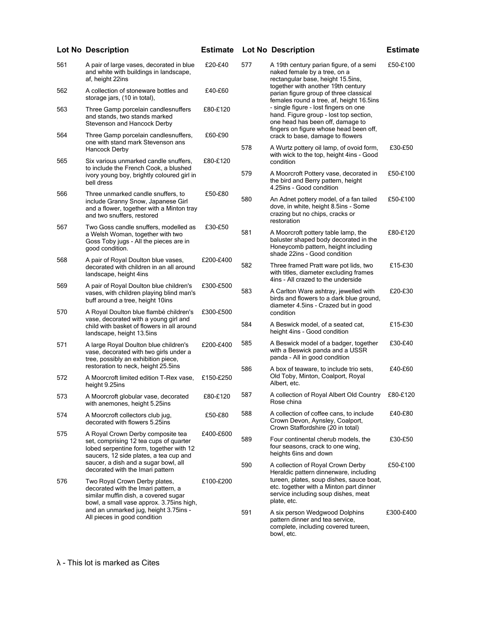|     | <b>Lot No Description</b>                                                                                                                                        | <b>Estimate</b> |     | <b>Lot No Description</b>                                                                                                                                     | <b>Estimate</b> |
|-----|------------------------------------------------------------------------------------------------------------------------------------------------------------------|-----------------|-----|---------------------------------------------------------------------------------------------------------------------------------------------------------------|-----------------|
| 561 | A pair of large vases, decorated in blue<br>and white with buildings in landscape,<br>af, height 22ins                                                           | £20-£40         | 577 | A 19th century parian figure, of a semi<br>naked female by a tree, on a<br>rectangular base, height 15.5ins,                                                  | £50-£100        |
| 562 | A collection of stoneware bottles and<br>storage jars, (10 in total),                                                                                            | £40-£60         |     | together with another 19th century<br>parian figure group of three classical<br>females round a tree, af, height 16.5ins                                      |                 |
| 563 | Three Gamp porcelain candlesnuffers<br>and stands, two stands marked<br>Stevenson and Hancock Derby                                                              | £80-£120        |     | - single figure - lost fingers on one<br>hand. Figure group - lost top section,<br>one head has been off, damage to<br>fingers on figure whose head been off, |                 |
| 564 | Three Gamp porcelain candlesnuffers,<br>one with stand mark Stevenson ans<br>Hancock Derby                                                                       | £60-£90         | 578 | crack to base, damage to flowers<br>A Wurtz pottery oil lamp, of ovoid form,                                                                                  | £30-£50         |
| 565 | Six various unmarked candle snuffers,<br>to include the French Cook, a blushed                                                                                   | £80-£120        |     | with wick to the top, height 4ins - Good<br>condition                                                                                                         |                 |
|     | ivory young boy, brightly coloured girl in<br>bell dress                                                                                                         |                 | 579 | A Moorcroft Pottery vase, decorated in<br>the bird and Berry pattern, height<br>4.25ins - Good condition                                                      | £50-£100        |
| 566 | Three unmarked candle snuffers, to<br>include Granny Snow, Japanese Girl<br>and a flower, together with a Minton tray<br>and two snuffers, restored              | £50-£80         | 580 | An Adnet pottery model, of a fan tailed<br>dove, in white, height 8.5ins - Some<br>crazing but no chips, cracks or<br>restoration                             | £50-£100        |
| 567 | Two Goss candle snuffers, modelled as<br>a Welsh Woman, together with two<br>Goss Toby jugs - All the pieces are in<br>good condition.                           | £30-£50         | 581 | A Moorcroft pottery table lamp, the<br>baluster shaped body decorated in the<br>Honeycomb pattern, height including<br>shade 22ins - Good condition           | £80-£120        |
| 568 | A pair of Royal Doulton blue vases,<br>decorated with children in an all around<br>landscape, height 4ins                                                        | £200-£400       | 582 | Three framed Pratt ware pot lids, two<br>with titles, diameter excluding frames<br>4ins - All crazed to the underside                                         | £15-£30         |
| 569 | A pair of Royal Doulton blue children's<br>vases, with children playing blind man's<br>buff around a tree, height 10ins                                          | £300-£500       | 583 | A Carlton Ware ashtray, jewelled with<br>birds and flowers to a dark blue ground,<br>diameter 4.5ins - Crazed but in good                                     | £20-£30         |
| 570 | A Royal Doulton blue flambé children's<br>vase, decorated with a young girl and                                                                                  | £300-£500       | 584 | condition                                                                                                                                                     | £15-£30         |
|     | child with basket of flowers in all around<br>landscape, height 13.5ins                                                                                          |                 |     | A Beswick model, of a seated cat,<br>height 4ins - Good condition                                                                                             |                 |
| 571 | A large Royal Doulton blue children's<br>vase, decorated with two girls under a<br>tree, possibly an exhibition piece,                                           | £200-£400       | 585 | A Beswick model of a badger, together<br>with a Beswick panda and a USSR<br>panda - All in good condition                                                     | £30-£40         |
| 572 | restoration to neck, height 25.5ins<br>A Moorcroft limited edition T-Rex vase,<br>height 9.25ins                                                                 | £150-£250       | 586 | A box of teaware, to include trio sets,<br>Old Toby, Minton, Coalport, Royal<br>Albert, etc.                                                                  | £40-£60         |
| 573 | A Moorcroft globular vase, decorated<br>with anemones, height 5.25ins                                                                                            | £80-£120        | 587 | A collection of Royal Albert Old Country<br>Rose china                                                                                                        | £80-£120        |
| 574 | A Moorcroft collectors club jug,<br>decorated with flowers 5.25ins                                                                                               | £50-£80         | 588 | A collection of coffee cans, to include<br>Crown Devon, Aynsley, Coalport,<br>Crown Staffordshire (20 in total)                                               | £40-£80         |
| 575 | A Royal Crown Derby composite tea<br>set, comprising 12 tea cups of quarter<br>lobed serpentine form, together with 12<br>saucers, 12 side plates, a tea cup and | £400-£600       | 589 | Four continental cherub models, the<br>four seasons, crack to one wing,<br>heights 6ins and down                                                              | £30-£50         |
|     | saucer, a dish and a sugar bowl, all<br>decorated with the Imari pattern                                                                                         |                 | 590 | A collection of Royal Crown Derby<br>Heraldic pattern dinnerware, including                                                                                   | £50-£100        |
| 576 | Two Royal Crown Derby plates,<br>decorated with the Imari pattern, a<br>similar muffin dish, a covered sugar<br>bowl, a small vase approx. 3.75ins high,         | £100-£200       |     | tureen, plates, soup dishes, sauce boat,<br>etc. together with a Minton part dinner<br>service including soup dishes, meat<br>plate, etc.                     |                 |
|     | and an unmarked jug, height 3.75ins -<br>All pieces in good condition                                                                                            |                 | 591 | A six person Wedgwood Dolphins<br>pattern dinner and tea service,<br>complete, including covered tureen,<br>bowl, etc.                                        | £300-£400       |

£50-£100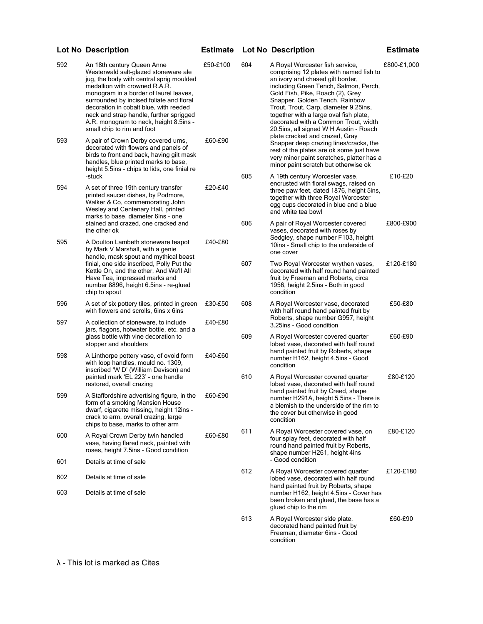| 592        | An 18th century Queen Anne<br>Westerwald salt-glazed stoneware ale<br>jug, the body with central sprig moulded<br>medallion with crowned R.A.R.<br>monogram in a border of laurel leaves,<br>surrounded by incised foliate and floral<br>decoration in cobalt blue, with reeded<br>neck and strap handle, further sprigged<br>A.R. monogram to neck, height 8.5ins -<br>small chip to rim and foot | £50-£100 | 604 | A Royal Worcester fish service,<br>comprising 12 plates with named fish to<br>an ivory and chased gilt border,<br>including Green Tench, Salmon, Perch,<br>Gold Fish, Pike, Roach (2), Grey<br>Snapper, Golden Tench, Rainbow<br>Trout, Trout, Carp, diameter 9.25ins,<br>together with a large oval fish plate,<br>decorated with a Common Trout, width<br>20.5ins, all signed W H Austin - Roach | £800-£1,000 |
|------------|----------------------------------------------------------------------------------------------------------------------------------------------------------------------------------------------------------------------------------------------------------------------------------------------------------------------------------------------------------------------------------------------------|----------|-----|----------------------------------------------------------------------------------------------------------------------------------------------------------------------------------------------------------------------------------------------------------------------------------------------------------------------------------------------------------------------------------------------------|-------------|
| 593        | A pair of Crown Derby covered urns,<br>decorated with flowers and panels of<br>birds to front and back, having gilt mask<br>handles, blue printed marks to base,<br>height 5.5ins - chips to lids, one finial re                                                                                                                                                                                   | £60-£90  |     | plate cracked and crazed, Gray<br>Snapper deep crazing lines/cracks, the<br>rest of the plates are ok some just have<br>very minor paint scratches, platter has a<br>minor paint scratch but otherwise ok                                                                                                                                                                                          |             |
| 594        | -stuck<br>A set of three 19th century transfer<br>printed saucer dishes, by Podmore,<br>Walker & Co, commemorating John<br>Wesley and Centenary Hall, printed<br>marks to base, diameter 6ins - one                                                                                                                                                                                                | £20-£40  | 605 | A 19th century Worcester vase,<br>encrusted with floral swags, raised on<br>three paw feet, dated 1876, height 5ins,<br>together with three Royal Worcester<br>egg cups decorated in blue and a blue<br>and white tea bowl                                                                                                                                                                         | £10-£20     |
| 595        | stained and crazed, one cracked and<br>the other ok<br>A Doulton Lambeth stoneware teapot                                                                                                                                                                                                                                                                                                          | £40-£80  | 606 | A pair of Royal Worcester covered<br>vases, decorated with roses by<br>Sedgley, shape number F103, height                                                                                                                                                                                                                                                                                          | £800-£900   |
|            | by Mark V Marshall, with a genie<br>handle, mask spout and mythical beast<br>finial, one side inscribed, Polly Put the<br>Kettle On, and the other, And We'll All<br>Have Tea, impressed marks and<br>number 8896, height 6.5ins - re-glued<br>chip to spout                                                                                                                                       |          | 607 | 10ins - Small chip to the underside of<br>one cover<br>Two Royal Worcester wrythen vases,<br>decorated with half round hand painted<br>fruit by Freeman and Roberts, circa<br>1956, height 2.5ins - Both in good<br>condition                                                                                                                                                                      | £120-£180   |
| 596        | A set of six pottery tiles, printed in green<br>with flowers and scrolls, 6ins x 6ins                                                                                                                                                                                                                                                                                                              | £30-£50  | 608 | A Royal Worcester vase, decorated<br>with half round hand painted fruit by                                                                                                                                                                                                                                                                                                                         | £50-£80     |
| 597        | A collection of stoneware, to include<br>jars, flagons, hotwater bottle, etc. and a<br>glass bottle with vine decoration to                                                                                                                                                                                                                                                                        | £40-£80  | 609 | Roberts, shape number G957, height<br>3.25ins - Good condition<br>A Royal Worcester covered quarter                                                                                                                                                                                                                                                                                                | £60-£90     |
| 598        | stopper and shoulders<br>A Linthorpe pottery vase, of ovoid form<br>with loop handles, mould no. 1309,                                                                                                                                                                                                                                                                                             | £40-£60  |     | lobed vase, decorated with half round<br>hand painted fruit by Roberts, shape<br>number H162, height 4.5ins - Good<br>condition                                                                                                                                                                                                                                                                    |             |
|            | inscribed 'W D' (William Davison) and<br>painted mark 'EL 223' - one handle<br>restored, overall crazing                                                                                                                                                                                                                                                                                           |          | 610 | A Royal Worcester covered quarter<br>lobed vase, decorated with half round                                                                                                                                                                                                                                                                                                                         | £80-£120    |
| 599        | A Staffordshire advertising figure, in the<br>form of a smoking Mansion House<br>dwarf, cigarette missing, height 12ins -<br>crack to arm, overall crazing, large<br>chips to base, marks to other arm                                                                                                                                                                                             | £60-£90  |     | hand painted fruit by Creed, shape<br>number H291A, height 5.5ins - There is<br>a blemish to the underside of the rim to<br>the cover but otherwise in good<br>condition                                                                                                                                                                                                                           |             |
| 600        | A Royal Crown Derby twin handled<br>vase, having flared neck, painted with<br>roses, height 7.5ins - Good condition                                                                                                                                                                                                                                                                                | £60-£80  | 611 | A Royal Worcester covered vase, on<br>four splay feet, decorated with half<br>round hand painted fruit by Roberts,<br>shape number H261, height 4ins                                                                                                                                                                                                                                               | £80-£120    |
| 601        | Details at time of sale                                                                                                                                                                                                                                                                                                                                                                            |          |     | - Good condition                                                                                                                                                                                                                                                                                                                                                                                   |             |
| 602<br>603 | Details at time of sale<br>Details at time of sale                                                                                                                                                                                                                                                                                                                                                 |          | 612 | A Royal Worcester covered quarter<br>lobed vase, decorated with half round<br>hand painted fruit by Roberts, shape<br>number H162, height 4.5ins - Cover has<br>been broken and glued, the base has a                                                                                                                                                                                              | £120-£180   |
|            |                                                                                                                                                                                                                                                                                                                                                                                                    |          | 613 | glued chip to the rim<br>A Royal Worcester side plate,                                                                                                                                                                                                                                                                                                                                             | £60-£90     |
|            |                                                                                                                                                                                                                                                                                                                                                                                                    |          |     | decorated hand painted fruit by<br>Freeman, diameter 6ins - Good                                                                                                                                                                                                                                                                                                                                   |             |

condition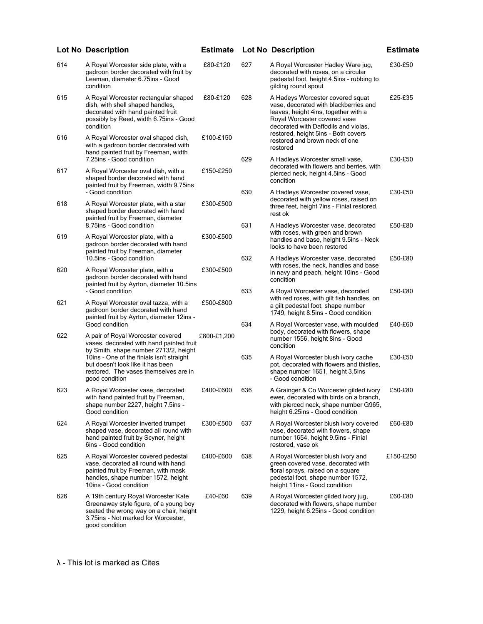|     | <b>Lot No Description</b>                                                                                                                                                         | <b>Estimate</b> |     | <b>Lot No Description</b>                                                                                                                                                                 | <b>Estimate</b> |
|-----|-----------------------------------------------------------------------------------------------------------------------------------------------------------------------------------|-----------------|-----|-------------------------------------------------------------------------------------------------------------------------------------------------------------------------------------------|-----------------|
| 614 | A Royal Worcester side plate, with a<br>gadroon border decorated with fruit by<br>Leaman, diameter 6.75ins - Good<br>condition                                                    | £80-£120        | 627 | A Royal Worcester Hadley Ware jug,<br>decorated with roses, on a circular<br>pedestal foot, height 4.5ins - rubbing to<br>gilding round spout                                             | £30-£50         |
| 615 | A Royal Worcester rectangular shaped<br>dish, with shell shaped handles,<br>decorated with hand painted fruit<br>possibly by Reed, width 6.75ins - Good<br>condition              | £80-£120        | 628 | A Hadeys Worcester covered squat<br>vase, decorated with blackberries and<br>leaves, height 4ins, together with a<br>Royal Worcester covered vase<br>decorated with Daffodils and violas, | £25-£35         |
| 616 | A Royal Worcester oval shaped dish,<br>with a gadroon border decorated with<br>hand painted fruit by Freeman, width<br>7.25ins - Good condition                                   | £100-£150       | 629 | restored, height 5ins - Both covers<br>restored and brown neck of one<br>restored<br>A Hadleys Worcester small vase,                                                                      | £30-£50         |
| 617 | A Royal Worcester oval dish, with a<br>shaped border decorated with hand<br>painted fruit by Freeman, width 9.75ins                                                               | £150-£250       |     | decorated with flowers and berries, with<br>pierced neck, height 4.5ins - Good<br>condition                                                                                               |                 |
| 618 | - Good condition<br>A Royal Worcester plate, with a star<br>shaped border decorated with hand                                                                                     | £300-£500       | 630 | A Hadleys Worcester covered vase,<br>decorated with yellow roses, raised on<br>three feet, height 7ins - Finial restored,<br>rest ok                                                      | £30-£50         |
| 619 | painted fruit by Freeman, diameter<br>8.75ins - Good condition<br>A Royal Worcester plate, with a<br>gadroon border decorated with hand                                           | £300-£500       | 631 | A Hadleys Worcester vase, decorated<br>with roses, with green and brown<br>handles and base, height 9.5ins - Neck                                                                         | £50-£80         |
| 620 | painted fruit by Freeman, diameter<br>10.5ins - Good condition<br>A Royal Worcester plate, with a                                                                                 | £300-£500       | 632 | looks to have been restored<br>A Hadleys Worcester vase, decorated<br>with roses, the neck, handles and base                                                                              | £50-£80         |
|     | gadroon border decorated with hand<br>painted fruit by Ayrton, diameter 10.5ins<br>- Good condition                                                                               |                 | 633 | in navy and peach, height 10ins - Good<br>condition<br>A Royal Worcester vase, decorated<br>with red roses, with gilt fish handles, on                                                    | £50-£80         |
| 621 | A Royal Worcester oval tazza, with a<br>gadroon border decorated with hand<br>painted fruit by Ayrton, diameter 12ins -<br>Good condition                                         | £500-£800       | 634 | a gilt pedestal foot, shape number<br>1749, height 8.5ins - Good condition<br>A Royal Worcester vase, with moulded                                                                        | £40-£60         |
| 622 | A pair of Royal Worcester covered<br>vases, decorated with hand painted fruit<br>by Smith, shape number 2713/2, height                                                            | £800-£1,200     |     | body, decorated with flowers, shape<br>number 1556, height 8ins - Good<br>condition                                                                                                       |                 |
|     | 10ins - One of the finials isn't straight<br>but doesn't look like it has been<br>restored. The vases themselves are in<br>good condition                                         |                 | 635 | A Royal Worcester blush ivory cache<br>pot, decorated with flowers and thistles,<br>shape number 1651, height 3.5ins<br>- Good condition                                                  | £30-£50         |
| 623 | A Royal Worcester vase, decorated<br>with hand painted fruit by Freeman,<br>shape number 2227, height 7.5ins -<br>Good condition                                                  | £400-£600       | 636 | A Grainger & Co Worcester gilded ivory<br>ewer, decorated with birds on a branch,<br>with pierced neck, shape number G965,<br>height 6.25ins - Good condition                             | £50-£80         |
| 624 | A Royal Worcester inverted trumpet<br>shaped vase, decorated all round with<br>hand painted fruit by Scyner, height<br>6ins - Good condition                                      | £300-£500       | 637 | A Royal Worcester blush ivory covered<br>vase, decorated with flowers, shape<br>number 1654, height 9.5ins - Finial<br>restored, vase ok                                                  | £60-£80         |
| 625 | A Royal Worcester covered pedestal<br>vase, decorated all round with hand<br>painted fruit by Freeman, with mask<br>handles, shape number 1572, height<br>10ins - Good condition  | £400-£600       | 638 | A Royal Worcester blush ivory and<br>green covered vase, decorated with<br>floral sprays, raised on a square<br>pedestal foot, shape number 1572,<br>height 11ins - Good condition        | £150-£250       |
| 626 | A 19th century Royal Worcester Kate<br>Greenaway style figure, of a young boy<br>seated the wrong way on a chair, height<br>3.75ins - Not marked for Worcester,<br>good condition | £40-£60         | 639 | A Royal Worcester gilded ivory jug,<br>decorated with flowers, shape number<br>1229, height 6.25ins - Good condition                                                                      | £60-£80         |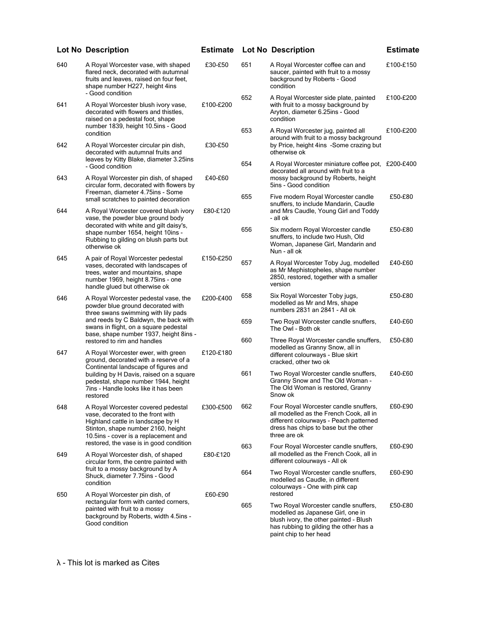|     | <b>Lot No Description</b>                                                                                                                                                                  | <b>Estimate</b> |            | <b>Lot No Description</b>                                                                                                                                                                           | <b>Estimate</b>    |
|-----|--------------------------------------------------------------------------------------------------------------------------------------------------------------------------------------------|-----------------|------------|-----------------------------------------------------------------------------------------------------------------------------------------------------------------------------------------------------|--------------------|
| 640 | A Royal Worcester vase, with shaped<br>flared neck, decorated with autumnal<br>fruits and leaves, raised on four feet,<br>shape number H227, height 4ins<br>- Good condition               | £30-£50         | 651        | A Royal Worcester coffee can and<br>saucer, painted with fruit to a mossy<br>background by Roberts - Good<br>condition                                                                              | £100-£150          |
| 641 | A Royal Worcester blush ivory vase,<br>decorated with flowers and thistles,<br>raised on a pedestal foot, shape<br>number 1839, height 10.5ins - Good                                      | £100-£200       | 652        | A Royal Worcester side plate, painted<br>with fruit to a mossy background by<br>Aryton, diameter 6.25ins - Good<br>condition                                                                        | £100-£200          |
| 642 | condition<br>A Royal Worcester circular pin dish,<br>decorated with autumnal fruits and                                                                                                    | £30-£50         | 653        | A Royal Worcester jug, painted all<br>around with fruit to a mossy background<br>by Price, height 4ins -Some crazing but<br>otherwise ok                                                            | £100-£200          |
| 643 | leaves by Kitty Blake, diameter 3.25ins<br>- Good condition<br>A Royal Worcester pin dish, of shaped                                                                                       | £40-£60         | 654        | A Royal Worcester miniature coffee pot, £200-£400<br>decorated all around with fruit to a<br>mossy background by Roberts, height                                                                    |                    |
|     | circular form, decorated with flowers by<br>Freeman, diameter 4.75ins - Some<br>small scratches to painted decoration                                                                      |                 | 655        | 5ins - Good condition<br>Five modern Royal Worcester candle<br>snuffers, to include Mandarin, Caudle                                                                                                | £50-£80            |
| 644 | A Royal Worcester covered blush ivory<br>vase, the powder blue ground body<br>decorated with white and gilt daisy's,<br>shape number 1654, height 10ins -                                  | £80-£120        | 656        | and Mrs Caudle, Young Girl and Toddy<br>- all ok<br>Six modern Royal Worcester candle                                                                                                               | £50-£80            |
| 645 | Rubbing to gilding on blush parts but<br>otherwise ok<br>A pair of Royal Worcester pedestal                                                                                                | £150-£250       |            | snuffers, to include two Hush, Old<br>Woman, Japanese Girl, Mandarin and<br>Nun - all ok                                                                                                            |                    |
|     | vases, decorated with landscapes of<br>trees, water and mountains, shape<br>number 1969, height 8.75ins - one<br>handle glued but otherwise ok                                             |                 | 657        | A Royal Worcester Toby Jug, modelled<br>as Mr Mephistopheles, shape number<br>2850, restored, together with a smaller<br>version                                                                    | £40-£60            |
| 646 | A Royal Worcester pedestal vase, the<br>powder blue ground decorated with<br>three swans swimming with lily pads                                                                           | £200-£400       | 658        | Six Royal Worcester Toby jugs,<br>modelled as Mr and Mrs, shape<br>numbers 2831 an 2841 - All ok                                                                                                    | £50-£80            |
|     | and reeds by C Baldwyn, the back with<br>swans in flight, on a square pedestal<br>base, shape number 1937, height 8ins -<br>restored to rim and handles                                    |                 | 659<br>660 | Two Royal Worcester candle snuffers,<br>The Owl - Both ok<br>Three Royal Worcester candle snuffers,                                                                                                 | £40-£60<br>£50-£80 |
| 647 | A Royal Worcester ewer, with green<br>ground, decorated with a reserve of a                                                                                                                | £120-£180       |            | modelled as Granny Snow, all in<br>different colourways - Blue skirt<br>cracked, other two ok                                                                                                       |                    |
|     | Continental landscape of figures and<br>building by H Davis, raised on a square<br>pedestal, shape number 1944, height<br>7ins - Handle looks like it has been<br>restored                 |                 | 661        | Two Royal Worcester candle snuffers,<br>Granny Snow and The Old Woman -<br>The Old Woman is restored, Granny<br>Snow ok                                                                             | £40-£60            |
| 648 | A Royal Worcester covered pedestal<br>vase, decorated to the front with<br>Highland cattle in landscape by H<br>Stinton, shape number 2160, height<br>10.5ins - cover is a replacement and | £300-£500       | 662        | Four Royal Worcester candle snuffers,<br>all modelled as the French Cook, all in<br>different colourways - Peach patterned<br>dress has chips to base but the other<br>three are ok                 | £60-£90            |
| 649 | restored, the vase is in good condition<br>A Royal Worcester dish, of shaped<br>circular form, the centre painted with                                                                     | £80-£120        | 663        | Four Royal Worcester candle snuffers,<br>all modelled as the French Cook, all in<br>different colourways - All ok                                                                                   | £60-£90            |
|     | fruit to a mossy background by A<br>Shuck, diameter 7.75ins - Good<br>condition                                                                                                            |                 | 664        | Two Royal Worcester candle snuffers,<br>modelled as Caudle, in different<br>colourways - One with pink cap                                                                                          | £60-£90            |
| 650 | A Royal Worcester pin dish, of<br>rectangular form with canted corners,<br>painted with fruit to a mossy<br>background by Roberts, width 4.5ins -<br>Good condition                        | £60-£90         | 665        | restored<br>Two Royal Worcester candle snuffers,<br>modelled as Japanese Girl, one in<br>blush ivory, the other painted - Blush<br>has rubbing to gilding the other has a<br>paint chip to her head | £50-£80            |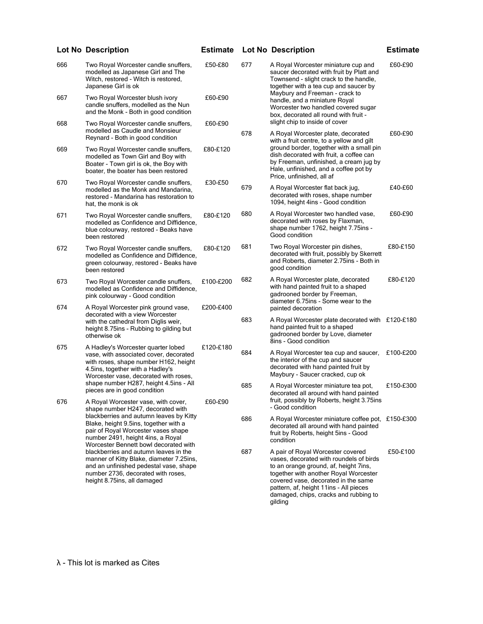|     | <b>Lot No Description</b>                                                                                                                                                                                                                  | <b>Estimate</b> |     | <b>Lot No Description</b>                                                                                                                                                                                                                                                                           | <b>Estimate</b> |
|-----|--------------------------------------------------------------------------------------------------------------------------------------------------------------------------------------------------------------------------------------------|-----------------|-----|-----------------------------------------------------------------------------------------------------------------------------------------------------------------------------------------------------------------------------------------------------------------------------------------------------|-----------------|
| 666 | Two Royal Worcester candle snuffers,<br>modelled as Japanese Girl and The<br>Witch, restored - Witch is restored,<br>Japanese Girl is ok                                                                                                   | £50-£80         | 677 | A Royal Worcester miniature cup and<br>saucer decorated with fruit by Platt and<br>Townsend - slight crack to the handle,<br>together with a tea cup and saucer by                                                                                                                                  | £60-£90         |
| 667 | Two Royal Worcester blush ivory<br>candle snuffers, modelled as the Nun<br>and the Monk - Both in good condition                                                                                                                           | £60-£90         |     | Maybury and Freeman - crack to<br>handle, and a miniature Royal<br>Worcester two handled covered sugar<br>box, decorated all round with fruit -                                                                                                                                                     |                 |
| 668 | Two Royal Worcester candle snuffers,<br>modelled as Caudle and Monsieur<br>Reynard - Both in good condition                                                                                                                                | £60-£90         | 678 | slight chip to inside of cover<br>A Royal Worcester plate, decorated<br>with a fruit centre, to a yellow and gilt                                                                                                                                                                                   | £60-£90         |
| 669 | Two Royal Worcester candle snuffers,<br>modelled as Town Girl and Boy with<br>Boater - Town girl is ok, the Boy with<br>boater, the boater has been restored                                                                               | £80-£120        |     | ground border, together with a small pin<br>dish decorated with fruit, a coffee can<br>by Freeman, unfinished, a cream jug by<br>Hale, unfinished, and a coffee pot by<br>Price, unfinished, all af                                                                                                 |                 |
| 670 | Two Royal Worcester candle snuffers,<br>modelled as the Monk and Mandarina,<br>restored - Mandarina has restoration to<br>hat, the monk is ok                                                                                              | £30-£50         | 679 | A Royal Worcester flat back jug,<br>decorated with roses, shape number<br>1094, height 4ins - Good condition                                                                                                                                                                                        | £40-£60         |
| 671 | Two Royal Worcester candle snuffers,<br>modelled as Confidence and Diffidence,<br>blue colourway, restored - Beaks have<br>been restored                                                                                                   | £80-£120        | 680 | A Royal Worcester two handled vase,<br>decorated with roses by Flaxman,<br>shape number 1762, height 7.75ins -<br>Good condition                                                                                                                                                                    | £60-£90         |
| 672 | Two Royal Worcester candle snuffers,<br>modelled as Confidence and Diffidence,<br>green colourway, restored - Beaks have<br>been restored                                                                                                  | £80-£120        | 681 | Two Royal Worcester pin dishes,<br>decorated with fruit, possibly by Skerrett<br>and Roberts, diameter 2.75ins - Both in<br>good condition                                                                                                                                                          | £80-£150        |
| 673 | Two Royal Worcester candle snuffers,<br>modelled as Confidence and Diffidence,<br>pink colourway - Good condition                                                                                                                          | £100-£200       | 682 | A Royal Worcester plate, decorated<br>with hand painted fruit to a shaped<br>gadrooned border by Freeman,<br>diameter 6.75 ins - Some wear to the                                                                                                                                                   | £80-£120        |
| 674 | A Royal Worcester pink ground vase,<br>decorated with a view Worcester<br>with the cathedral from Diglis weir,<br>height 8.75ins - Rubbing to gilding but<br>otherwise ok                                                                  | £200-£400       | 683 | painted decoration<br>A Royal Worcester plate decorated with £120-£180<br>hand painted fruit to a shaped<br>gadrooned border by Love, diameter<br>8ins - Good condition                                                                                                                             |                 |
| 675 | A Hadley's Worcester quarter lobed<br>vase, with associated cover, decorated<br>with roses, shape number H162, height<br>4.5ins, together with a Hadley's<br>Worcester vase, decorated with roses,                                         | £120-£180       | 684 | A Royal Worcester tea cup and saucer,<br>the interior of the cup and saucer<br>decorated with hand painted fruit by<br>Maybury - Saucer cracked, cup ok                                                                                                                                             | £100-£200       |
| 676 | shape number H287, height 4.5ins - All<br>pieces are in good condition<br>A Royal Worcester vase, with cover,                                                                                                                              | £60-£90         | 685 | A Royal Worcester miniature tea pot,<br>decorated all around with hand painted<br>fruit, possibly by Roberts, height 3.75ins                                                                                                                                                                        | £150-£300       |
|     | shape number H247, decorated with<br>blackberries and autumn leaves by Kitty<br>Blake, height 9.5ins, together with a<br>pair of Royal Worcester vases shape<br>number 2491, height 4ins, a Royal<br>Worcester Bennett bowl decorated with |                 | 686 | - Good condition<br>A Royal Worcester miniature coffee pot, £150-£300<br>decorated all around with hand painted<br>fruit by Roberts, height 5ins - Good<br>condition                                                                                                                                |                 |
|     | blackberries and autumn leaves in the<br>manner of Kitty Blake, diameter 7.25ins,<br>and an unfinished pedestal vase, shape<br>number 2736, decorated with roses,<br>height 8.75ins, all damaged                                           |                 | 687 | A pair of Royal Worcester covered<br>vases, decorated with roundels of birds<br>to an orange ground, af, height 7ins,<br>together with another Royal Worcester<br>covered vase, decorated in the same<br>pattern, af, height 11ins - All pieces<br>damaged, chips, cracks and rubbing to<br>gilding | £50-£100        |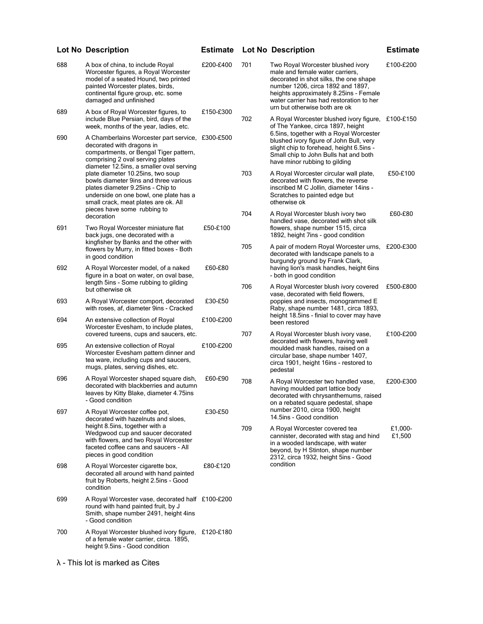| 688 | A box of china, to include Royal<br>Worcester figures, a Royal Worcester<br>model of a seated Hound, two printed<br>painted Worcester plates, birds,<br>continental figure group, etc. some<br>damaged and unfinished                                                                                                                                                                                                                       | £200-£400 | 701 | Two Royal Worcester blushed ivory<br>male and female water carriers,<br>decorated in shot silks, the one shape<br>number 1206, circa 1892 and 1897,<br>heights approximately 8.25ins - Female<br>water carrier has had restoration to her                                                                                           | £100-£200         |
|-----|---------------------------------------------------------------------------------------------------------------------------------------------------------------------------------------------------------------------------------------------------------------------------------------------------------------------------------------------------------------------------------------------------------------------------------------------|-----------|-----|-------------------------------------------------------------------------------------------------------------------------------------------------------------------------------------------------------------------------------------------------------------------------------------------------------------------------------------|-------------------|
| 689 | A box of Royal Worcester figures, to<br>include Blue Persian, bird, days of the<br>week, months of the year, ladies, etc.                                                                                                                                                                                                                                                                                                                   | £150-£300 | 702 | urn but otherwise both are ok<br>A Royal Worcester blushed ivory figure, £100-£150<br>of The Yankee, circa 1897, height<br>6.5ins, together with a Royal Worcester<br>blushed ivory figure of John Bull, very<br>slight chip to forehead, height 6.5ins -<br>Small chip to John Bulls hat and both<br>have minor rubbing to gilding |                   |
| 690 | A Chamberlains Worcester part service, £300-£500<br>decorated with dragons in<br>compartments, or Bengal Tiger pattern,<br>comprising 2 oval serving plates<br>diameter 12.5ins, a smaller oval serving<br>plate diameter 10.25ins, two soup<br>bowls diameter 9ins and three various<br>plates diameter 9.25ins - Chip to<br>underside on one bowl, one plate has a<br>small crack, meat plates are ok. All<br>pieces have some rubbing to |           |     |                                                                                                                                                                                                                                                                                                                                     |                   |
|     |                                                                                                                                                                                                                                                                                                                                                                                                                                             |           | 703 | A Royal Worcester circular wall plate,<br>decorated with flowers, the reverse<br>inscribed M C Jollin, diameter 14ins -<br>Scratches to painted edge but<br>otherwise ok                                                                                                                                                            | £50-£100          |
| 691 | decoration<br>Two Royal Worcester miniature flat<br>back jugs, one decorated with a                                                                                                                                                                                                                                                                                                                                                         | £50-£100  | 704 | A Royal Worcester blush ivory two<br>handled vase, decorated with shot silk<br>flowers, shape number 1515, circa<br>1892, height 7ins - good condition                                                                                                                                                                              | £60-£80           |
|     | kingfisher by Banks and the other with<br>flowers by Murry, in fitted boxes - Both<br>in good condition                                                                                                                                                                                                                                                                                                                                     |           | 705 | A pair of modern Royal Worcester urns, £200-£300<br>decorated with landscape panels to a<br>burgundy ground by Frank Clark,                                                                                                                                                                                                         |                   |
| 692 | A Royal Worcester model, of a naked<br>figure in a boat on water, on oval base,<br>length 5ins - Some rubbing to gilding                                                                                                                                                                                                                                                                                                                    | £60-£80   |     | having lion's mask handles, height 6ins<br>- both in good condition                                                                                                                                                                                                                                                                 |                   |
| 693 | but otherwise ok<br>A Royal Worcester comport, decorated<br>with roses, af, diameter 9ins - Cracked                                                                                                                                                                                                                                                                                                                                         | £30-£50   |     | 706<br>A Royal Worcester blush ivory covered<br>vase, decorated with field flowers,<br>poppies and insects, monogrammed E<br>Raby, shape number 1481, circa 1893,<br>height 18.5ins - finial to cover may have<br>been restored                                                                                                     | £500-£800         |
| 694 | An extensive collection of Royal<br>Worcester Evesham, to include plates,                                                                                                                                                                                                                                                                                                                                                                   | £100-£200 |     |                                                                                                                                                                                                                                                                                                                                     |                   |
| 695 | covered tureens, cups and saucers, etc.<br>An extensive collection of Royal<br>Worcester Evesham pattern dinner and<br>tea ware, including cups and saucers,<br>mugs, plates, serving dishes, etc.                                                                                                                                                                                                                                          | £100-£200 | 707 | A Royal Worcester blush ivory vase,<br>decorated with flowers, having well<br>moulded mask handles, raised on a<br>circular base, shape number 1407,<br>circa 1901, height 16ins - restored to<br>pedestal                                                                                                                          | £100-£200         |
| 696 | A Royal Worcester shaped square dish,<br>decorated with blackberries and autumn<br>leaves by Kitty Blake, diameter 4.75ins<br>- Good condition                                                                                                                                                                                                                                                                                              | £60-£90   | 708 | A Royal Worcester two handled vase,<br>having moulded part lattice body<br>decorated with chrysanthemums, raised<br>on a rebated square pedestal, shape<br>number 2010, circa 1900, height<br>14.5ins - Good condition                                                                                                              | £200-£300         |
| 697 | A Royal Worcester coffee pot,<br>decorated with hazelnuts and sloes,<br>height 8.5ins, together with a<br>Wedgwood cup and saucer decorated<br>with flowers, and two Royal Worcester<br>faceted coffee cans and saucers - All<br>pieces in good condition                                                                                                                                                                                   | £30-£50   |     |                                                                                                                                                                                                                                                                                                                                     |                   |
|     |                                                                                                                                                                                                                                                                                                                                                                                                                                             |           | 709 | A Royal Worcester covered tea<br>cannister, decorated with stag and hind<br>in a wooded landscape, with water<br>beyond, by H Stinton, shape number<br>2312, circa 1932, height 5ins - Good<br>condition                                                                                                                            | £1.000-<br>£1,500 |
| 698 | A Royal Worcester cigarette box,<br>decorated all around with hand painted<br>fruit by Roberts, height 2.5ins - Good<br>condition                                                                                                                                                                                                                                                                                                           | £80-£120  |     |                                                                                                                                                                                                                                                                                                                                     |                   |
| 699 | A Royal Worcester vase, decorated half £100-£200<br>round with hand painted fruit, by J<br>Smith, shape number 2491, height 4ins<br>- Good condition                                                                                                                                                                                                                                                                                        |           |     |                                                                                                                                                                                                                                                                                                                                     |                   |
| 700 | A Royal Worcester blushed ivory figure, £120-£180<br>of a female water carrier, circa. 1895,<br>height 9.5ins - Good condition                                                                                                                                                                                                                                                                                                              |           |     |                                                                                                                                                                                                                                                                                                                                     |                   |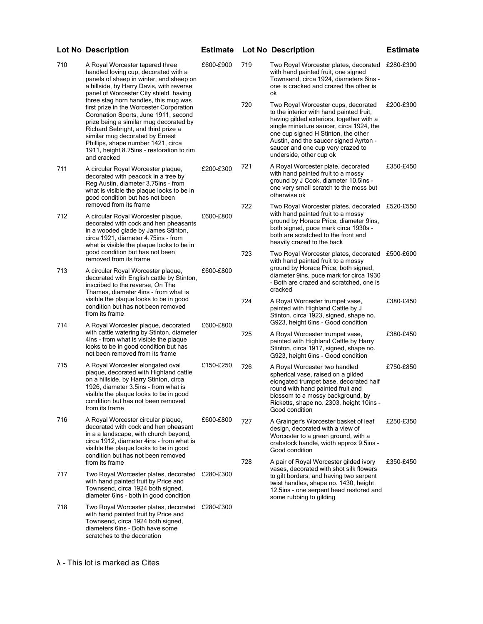| 710 | A Royal Worcester tapered three<br>handled loving cup, decorated with a<br>panels of sheep in winter, and sheep on<br>a hillside, by Harry Davis, with reverse<br>panel of Worcester City shield, having<br>three stag horn handles, this mug was<br>first prize in the Worcester Corporation<br>Coronation Sports, June 1911, second<br>prize being a similar mug decorated by<br>Richard Sebright, and third prize a<br>similar mug decorated by Ernest<br>Phillips, shape number 1421, circa<br>1911, height 8.75 ins - restoration to rim<br>and cracked | £600-£900              | 719 | Two Royal Worcester plates, decorated £280-£300<br>with hand painted fruit, one signed<br>Townsend, circa 1924, diameters 6ins -<br>one is cracked and crazed the other is<br>ok                                                                                                                                         |           |
|-----|--------------------------------------------------------------------------------------------------------------------------------------------------------------------------------------------------------------------------------------------------------------------------------------------------------------------------------------------------------------------------------------------------------------------------------------------------------------------------------------------------------------------------------------------------------------|------------------------|-----|--------------------------------------------------------------------------------------------------------------------------------------------------------------------------------------------------------------------------------------------------------------------------------------------------------------------------|-----------|
|     |                                                                                                                                                                                                                                                                                                                                                                                                                                                                                                                                                              |                        | 720 | Two Royal Worcester cups, decorated<br>to the interior with hand painted fruit,<br>having gilded exteriors, together with a<br>single miniature saucer, circa 1924, the<br>one cup signed H Stinton, the other<br>Austin, and the saucer signed Ayrton -<br>saucer and one cup very crazed to<br>underside, other cup ok | £200-£300 |
| 711 | A circular Royal Worcester plaque,<br>decorated with peacock in a tree by<br>Reg Austin, diameter 3.75ins - from<br>what is visible the plaque looks to be in<br>good condition but has not been                                                                                                                                                                                                                                                                                                                                                             | £200-£300              | 721 | A Royal Worcester plate, decorated<br>with hand painted fruit to a mossy<br>ground by J Cook, diameter 10.5ins -<br>one very small scratch to the moss but<br>otherwise ok                                                                                                                                               | £350-£450 |
| 712 | removed from its frame<br>A circular Royal Worcester plaque,<br>decorated with cock and hen pheasants<br>in a wooded glade by James Stinton,<br>circa 1921, diameter 4.75ins - from<br>what is visible the plaque looks to be in<br>good condition but has not been<br>removed from its frame                                                                                                                                                                                                                                                                | £600-£800              | 722 | Two Royal Worcester plates, decorated £520-£550<br>with hand painted fruit to a mossy<br>ground by Horace Price, diameter 9ins,<br>both signed, puce mark circa 1930s -<br>both are scratched to the front and<br>heavily crazed to the back                                                                             |           |
|     |                                                                                                                                                                                                                                                                                                                                                                                                                                                                                                                                                              |                        | 723 | Two Royal Worcester plates, decorated £500-£600<br>with hand painted fruit to a mossy<br>ground by Horace Price, both signed,<br>diameter 9ins, puce mark for circa 1930<br>- Both are crazed and scratched, one is<br>cracked                                                                                           |           |
| 713 | A circular Royal Worcester plaque,<br>decorated with English cattle by Stinton,<br>inscribed to the reverse, On The<br>Thames, diameter 4ins - from what is<br>visible the plaque looks to be in good<br>condition but has not been removed<br>from its frame<br>A Royal Worcester plaque, decorated<br>with cattle watering by Stinton, diameter<br>4ins - from what is visible the plaque<br>looks to be in good condition but has<br>not been removed from its frame                                                                                      | £600-£800<br>£600-£800 |     |                                                                                                                                                                                                                                                                                                                          |           |
|     |                                                                                                                                                                                                                                                                                                                                                                                                                                                                                                                                                              |                        | 724 | A Royal Worcester trumpet vase,<br>painted with Highland Cattle by J<br>Stinton, circa 1923, signed, shape no.<br>G923, height 6ins - Good condition                                                                                                                                                                     | £380-£450 |
| 714 |                                                                                                                                                                                                                                                                                                                                                                                                                                                                                                                                                              |                        | 725 | A Royal Worcester trumpet vase,<br>painted with Highland Cattle by Harry<br>Stinton, circa 1917, signed, shape no.<br>G923, height 6ins - Good condition                                                                                                                                                                 | £380-£450 |
| 715 | A Royal Worcester elongated oval<br>plaque, decorated with Highland cattle<br>on a hillside, by Harry Stinton, circa<br>1926, diameter 3.5ins - from what is<br>visible the plaque looks to be in good<br>condition but has not been removed<br>from its frame                                                                                                                                                                                                                                                                                               | £150-£250              | 726 | A Royal Worcester two handled<br>spherical vase, raised on a gilded<br>elongated trumpet base, decorated half<br>round with hand painted fruit and<br>blossom to a mossy background, by<br>Ricketts, shape no. 2303, height 10ins -<br>Good condition                                                                    | £750-£850 |
| 716 | A Royal Worcester circular plaque,<br>decorated with cock and hen pheasant<br>in a a landscape, with church beyond,<br>circa 1912, diameter 4ins - from what is<br>visible the plaque looks to be in good<br>condition but has not been removed                                                                                                                                                                                                                                                                                                              | £600-£800              | 727 | A Grainger's Worcester basket of leaf<br>design, decorated with a view of<br>Worcester to a green ground, with a<br>crabstock handle, width approx 9.5ins -<br>Good condition                                                                                                                                            | £250-£350 |
| 717 | from its frame<br>Two Royal Worcester plates, decorated £280-£300<br>with hand painted fruit by Price and<br>Townsend, circa 1924 both signed,<br>diameter 6ins - both in good condition                                                                                                                                                                                                                                                                                                                                                                     |                        | 728 | A pair of Royal Worcester gilded ivory<br>vases, decorated with shot silk flowers<br>to gilt borders, and having two serpent<br>twist handles, shape no. 1430, height<br>12.5 ins - one serpent head restored and                                                                                                        | £350-£450 |
| 718 | Two Royal Worcester plates, decorated £280-£300<br>with hand painted fruit by Price and<br>Townsend, circa 1924 both signed,<br>diameters 6ins - Both have some<br>scratches to the decoration                                                                                                                                                                                                                                                                                                                                                               |                        |     | some rubbing to gilding                                                                                                                                                                                                                                                                                                  |           |